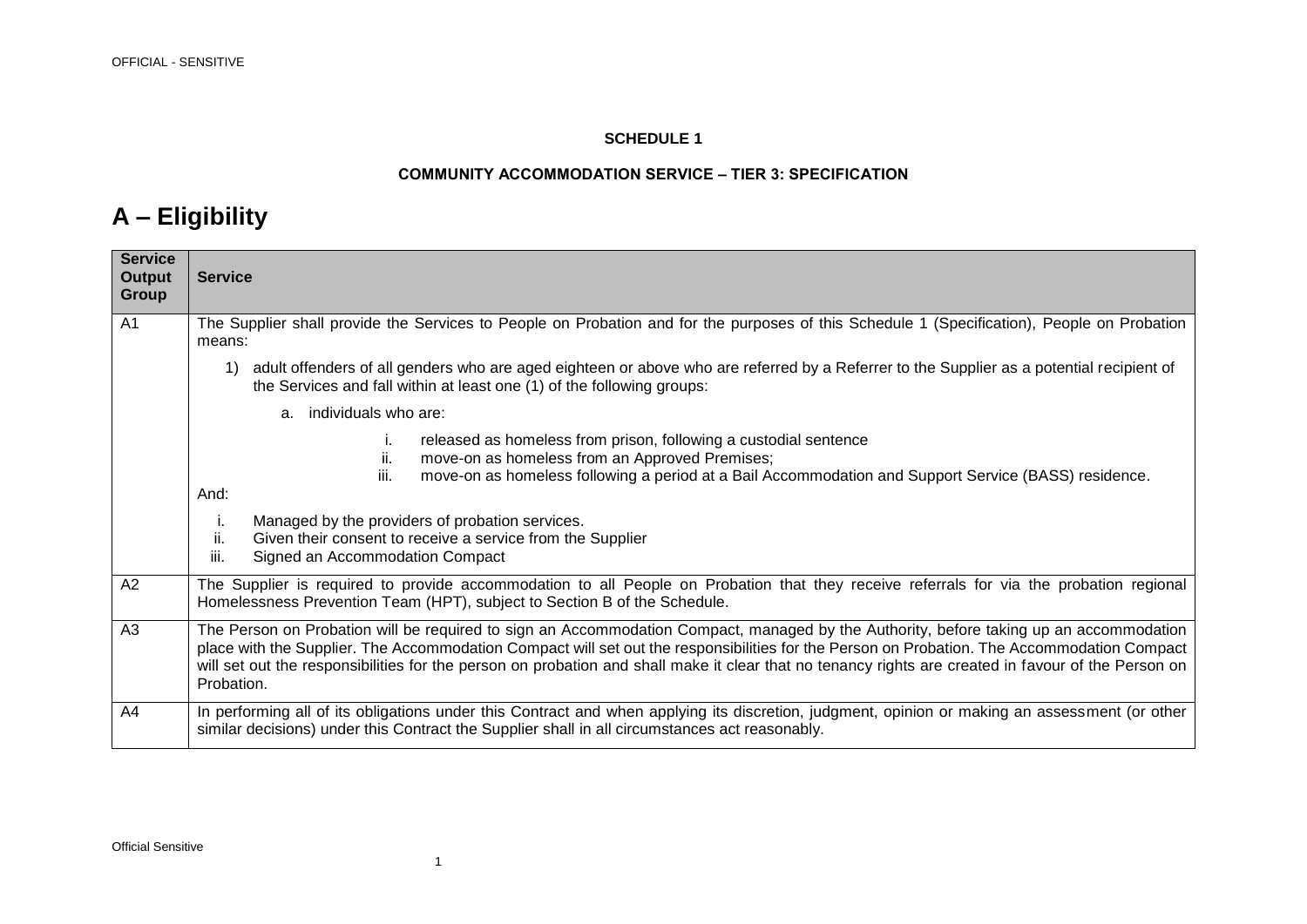#### **SCHEDULE 1**

#### **COMMUNITY ACCOMMODATION SERVICE – TIER 3: SPECIFICATION**

### **A – Eligibility**

| <b>Service</b><br><b>Output</b><br><b>Group</b> | <b>Service</b>                                                                                                                                                                                                                                                                                                                                                                                                                                             |
|-------------------------------------------------|------------------------------------------------------------------------------------------------------------------------------------------------------------------------------------------------------------------------------------------------------------------------------------------------------------------------------------------------------------------------------------------------------------------------------------------------------------|
| A <sub>1</sub>                                  | The Supplier shall provide the Services to People on Probation and for the purposes of this Schedule 1 (Specification), People on Probation<br>means:                                                                                                                                                                                                                                                                                                      |
|                                                 | adult offenders of all genders who are aged eighteen or above who are referred by a Referrer to the Supplier as a potential recipient of<br>1)<br>the Services and fall within at least one (1) of the following groups:                                                                                                                                                                                                                                   |
|                                                 | individuals who are:<br>a.                                                                                                                                                                                                                                                                                                                                                                                                                                 |
|                                                 | released as homeless from prison, following a custodial sentence<br>Τ.<br>ii.<br>move-on as homeless from an Approved Premises;<br>move-on as homeless following a period at a Bail Accommodation and Support Service (BASS) residence.<br>Ш.                                                                                                                                                                                                              |
|                                                 | And:                                                                                                                                                                                                                                                                                                                                                                                                                                                       |
|                                                 | Managed by the providers of probation services.<br>i.<br>ii.<br>Given their consent to receive a service from the Supplier<br>Signed an Accommodation Compact<br>iii.                                                                                                                                                                                                                                                                                      |
| A <sub>2</sub>                                  | The Supplier is required to provide accommodation to all People on Probation that they receive referrals for via the probation regional<br>Homelessness Prevention Team (HPT), subject to Section B of the Schedule.                                                                                                                                                                                                                                       |
| A3                                              | The Person on Probation will be required to sign an Accommodation Compact, managed by the Authority, before taking up an accommodation<br>place with the Supplier. The Accommodation Compact will set out the responsibilities for the Person on Probation. The Accommodation Compact<br>will set out the responsibilities for the person on probation and shall make it clear that no tenancy rights are created in favour of the Person on<br>Probation. |
| A4                                              | In performing all of its obligations under this Contract and when applying its discretion, judgment, opinion or making an assessment (or other<br>similar decisions) under this Contract the Supplier shall in all circumstances act reasonably.                                                                                                                                                                                                           |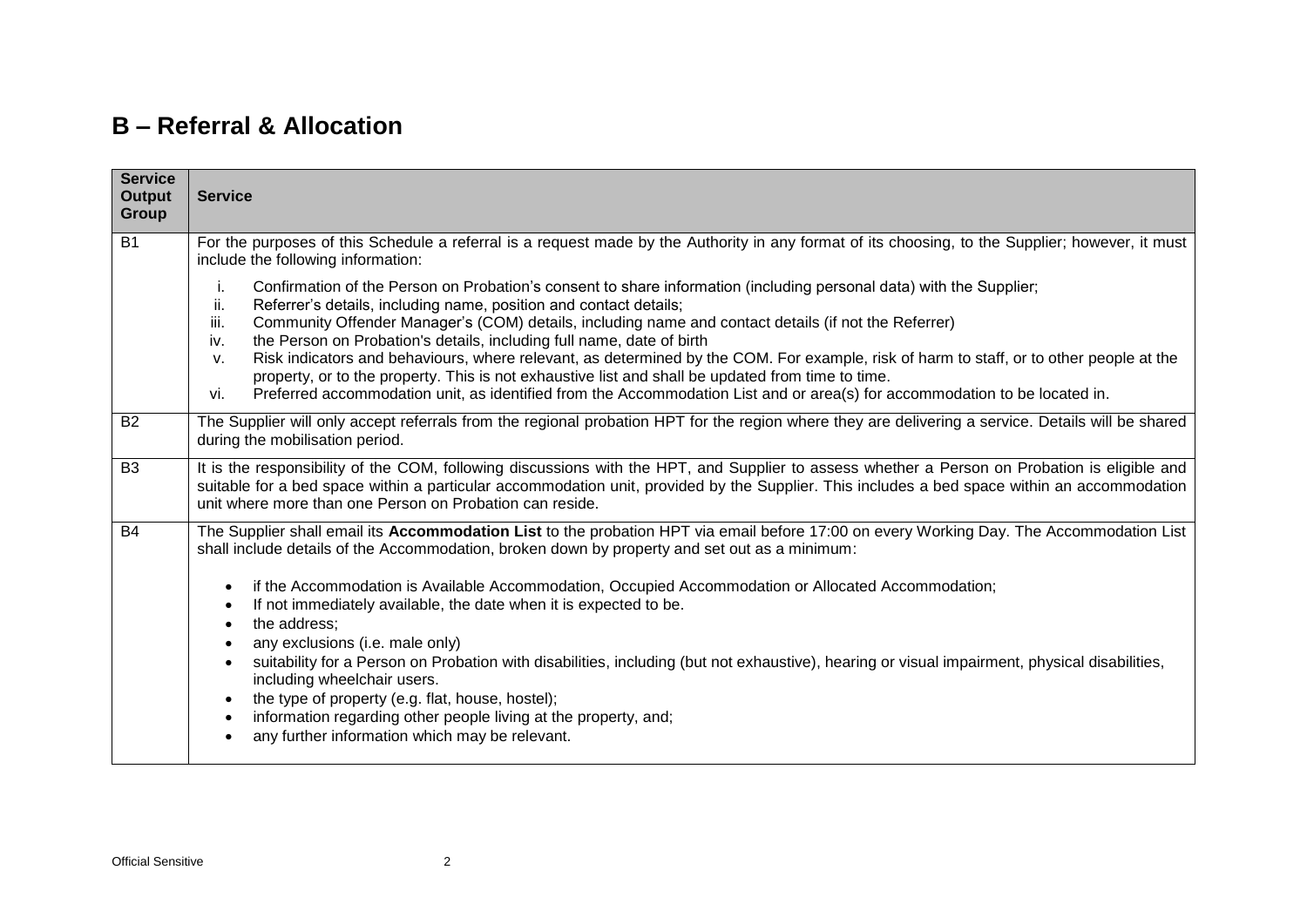#### **B – Referral & Allocation**

| <b>Service</b>                                                                                                                                                                                                                                                                                                                                                                                                                                                                                                                                                                                                                                                                                                                                                                                   |
|--------------------------------------------------------------------------------------------------------------------------------------------------------------------------------------------------------------------------------------------------------------------------------------------------------------------------------------------------------------------------------------------------------------------------------------------------------------------------------------------------------------------------------------------------------------------------------------------------------------------------------------------------------------------------------------------------------------------------------------------------------------------------------------------------|
| For the purposes of this Schedule a referral is a request made by the Authority in any format of its choosing, to the Supplier; however, it must<br>include the following information:                                                                                                                                                                                                                                                                                                                                                                                                                                                                                                                                                                                                           |
| Confirmation of the Person on Probation's consent to share information (including personal data) with the Supplier;<br>i.<br>ii.<br>Referrer's details, including name, position and contact details;<br>iii.<br>Community Offender Manager's (COM) details, including name and contact details (if not the Referrer)<br>the Person on Probation's details, including full name, date of birth<br>iv.<br>Risk indicators and behaviours, where relevant, as determined by the COM. For example, risk of harm to staff, or to other people at the<br>V.<br>property, or to the property. This is not exhaustive list and shall be updated from time to time.<br>Preferred accommodation unit, as identified from the Accommodation List and or area(s) for accommodation to be located in.<br>vi. |
| The Supplier will only accept referrals from the regional probation HPT for the region where they are delivering a service. Details will be shared<br>during the mobilisation period.                                                                                                                                                                                                                                                                                                                                                                                                                                                                                                                                                                                                            |
| It is the responsibility of the COM, following discussions with the HPT, and Supplier to assess whether a Person on Probation is eligible and<br>suitable for a bed space within a particular accommodation unit, provided by the Supplier. This includes a bed space within an accommodation<br>unit where more than one Person on Probation can reside.                                                                                                                                                                                                                                                                                                                                                                                                                                        |
| The Supplier shall email its Accommodation List to the probation HPT via email before 17:00 on every Working Day. The Accommodation List<br>shall include details of the Accommodation, broken down by property and set out as a minimum:                                                                                                                                                                                                                                                                                                                                                                                                                                                                                                                                                        |
| if the Accommodation is Available Accommodation, Occupied Accommodation or Allocated Accommodation;<br>If not immediately available, the date when it is expected to be.<br>the address;<br>any exclusions (i.e. male only)                                                                                                                                                                                                                                                                                                                                                                                                                                                                                                                                                                      |
| suitability for a Person on Probation with disabilities, including (but not exhaustive), hearing or visual impairment, physical disabilities,<br>including wheelchair users.<br>the type of property (e.g. flat, house, hostel);<br>information regarding other people living at the property, and;<br>any further information which may be relevant.                                                                                                                                                                                                                                                                                                                                                                                                                                            |
|                                                                                                                                                                                                                                                                                                                                                                                                                                                                                                                                                                                                                                                                                                                                                                                                  |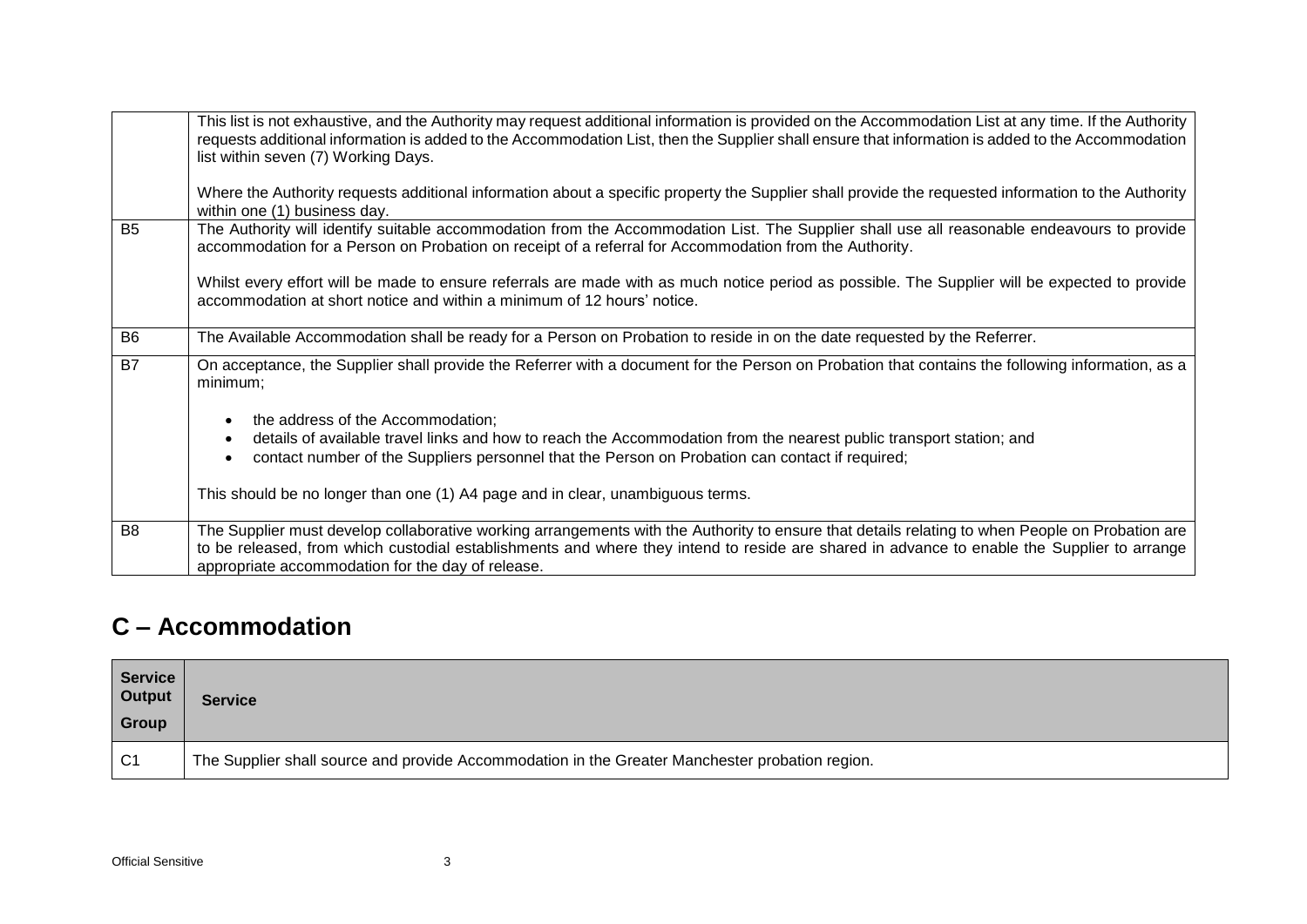|                | This list is not exhaustive, and the Authority may request additional information is provided on the Accommodation List at any time. If the Authority<br>requests additional information is added to the Accommodation List, then the Supplier shall ensure that information is added to the Accommodation<br>list within seven (7) Working Days.<br>Where the Authority requests additional information about a specific property the Supplier shall provide the requested information to the Authority<br>within one (1) business day. |
|----------------|------------------------------------------------------------------------------------------------------------------------------------------------------------------------------------------------------------------------------------------------------------------------------------------------------------------------------------------------------------------------------------------------------------------------------------------------------------------------------------------------------------------------------------------|
| <b>B5</b>      | The Authority will identify suitable accommodation from the Accommodation List. The Supplier shall use all reasonable endeavours to provide<br>accommodation for a Person on Probation on receipt of a referral for Accommodation from the Authority.                                                                                                                                                                                                                                                                                    |
|                | Whilst every effort will be made to ensure referrals are made with as much notice period as possible. The Supplier will be expected to provide<br>accommodation at short notice and within a minimum of 12 hours' notice.                                                                                                                                                                                                                                                                                                                |
| B <sub>6</sub> | The Available Accommodation shall be ready for a Person on Probation to reside in on the date requested by the Referrer.                                                                                                                                                                                                                                                                                                                                                                                                                 |
| B <sub>7</sub> | On acceptance, the Supplier shall provide the Referrer with a document for the Person on Probation that contains the following information, as a<br>minimum;                                                                                                                                                                                                                                                                                                                                                                             |
|                | the address of the Accommodation;                                                                                                                                                                                                                                                                                                                                                                                                                                                                                                        |
|                | details of available travel links and how to reach the Accommodation from the nearest public transport station; and<br>contact number of the Suppliers personnel that the Person on Probation can contact if required;                                                                                                                                                                                                                                                                                                                   |
|                | This should be no longer than one (1) A4 page and in clear, unambiguous terms.                                                                                                                                                                                                                                                                                                                                                                                                                                                           |
| B <sub>8</sub> | The Supplier must develop collaborative working arrangements with the Authority to ensure that details relating to when People on Probation are<br>to be released, from which custodial establishments and where they intend to reside are shared in advance to enable the Supplier to arrange<br>appropriate accommodation for the day of release.                                                                                                                                                                                      |

#### **C – Accommodation**

| <b>Service</b><br><b>Output</b><br>Group | <b>Service</b>                                                                                  |
|------------------------------------------|-------------------------------------------------------------------------------------------------|
| C <sub>1</sub>                           | The Supplier shall source and provide Accommodation in the Greater Manchester probation region. |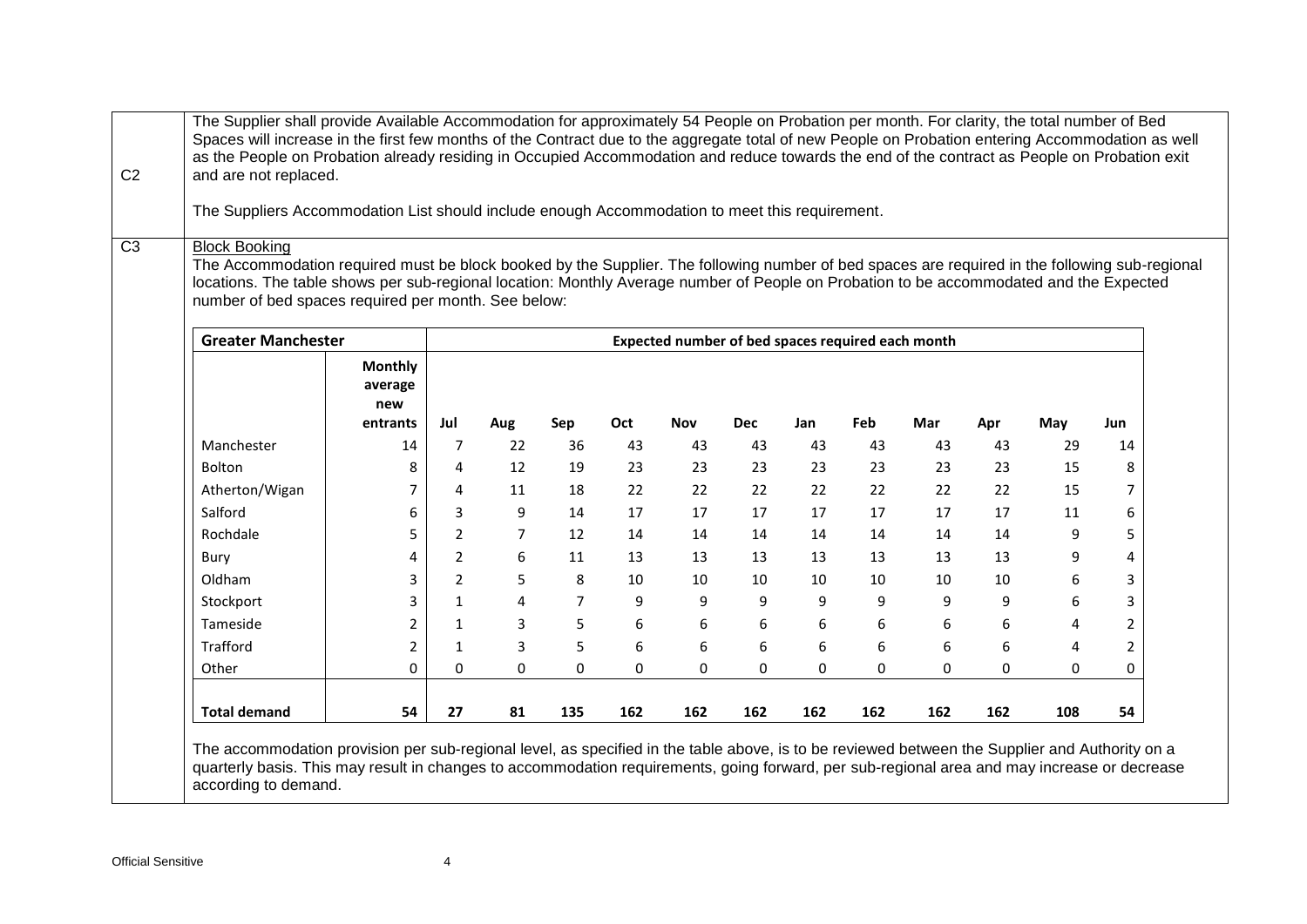| The Suppliers Accommodation List should include enough Accommodation to meet this requirement.                                                                         | and are not replaced. |                |                |                |          |                                                   |            |          |              |          |          |                  |                     |
|------------------------------------------------------------------------------------------------------------------------------------------------------------------------|-----------------------|----------------|----------------|----------------|----------|---------------------------------------------------|------------|----------|--------------|----------|----------|------------------|---------------------|
|                                                                                                                                                                        |                       |                |                |                |          |                                                   |            |          |              |          |          |                  |                     |
| <b>Block Booking</b><br>The Accommodation required must be block booked by the Supplier. The following number of bed spaces are required in the following sub-regional |                       |                |                |                |          |                                                   |            |          |              |          |          |                  |                     |
| locations. The table shows per sub-regional location: Monthly Average number of People on Probation to be accommodated and the Expected                                |                       |                |                |                |          |                                                   |            |          |              |          |          |                  |                     |
| number of bed spaces required per month. See below:                                                                                                                    |                       |                |                |                |          |                                                   |            |          |              |          |          |                  |                     |
| <b>Greater Manchester</b>                                                                                                                                              |                       |                |                |                |          | Expected number of bed spaces required each month |            |          |              |          |          |                  |                     |
|                                                                                                                                                                        | <b>Monthly</b>        |                |                |                |          |                                                   |            |          |              |          |          |                  |                     |
|                                                                                                                                                                        | average               |                |                |                |          |                                                   |            |          |              |          |          |                  |                     |
|                                                                                                                                                                        | new                   |                |                |                |          |                                                   |            |          |              |          |          |                  |                     |
|                                                                                                                                                                        | entrants              | Jul            | Aug            | Sep            | Oct      | <b>Nov</b>                                        | <b>Dec</b> | Jan      | Feb          | Mar      | Apr      | May              | Jun                 |
| Manchester                                                                                                                                                             | 14                    | 7              | 22             | 36             | 43       | 43                                                | 43         | 43       | 43           | 43       | 43       | 29               | 14                  |
| Bolton                                                                                                                                                                 | 8<br>7                | 4<br>4         | 12<br>11       | 19             | 23       | 23<br>22                                          | 23<br>22   | 23<br>22 | 23<br>22     | 23       | 23<br>22 | 15<br>15         | 8<br>$\overline{7}$ |
| Atherton/Wigan<br>Salford                                                                                                                                              | 6                     | 3              | 9              | 18<br>14       | 22<br>17 | 17                                                | 17         | 17       | 17           | 22<br>17 | 17       | 11               | 6                   |
| Rochdale                                                                                                                                                               | 5                     | $\overline{2}$ | $\overline{7}$ | 12             | 14       | 14                                                | 14         | 14       | 14           | 14       | 14       | 9                | 5                   |
| Bury                                                                                                                                                                   | 4                     | $\overline{2}$ | 6              | 11             | 13       | 13                                                | 13         | 13       | 13           | 13       | 13       | 9                | 4                   |
| Oldham                                                                                                                                                                 | 3                     | $\overline{2}$ | 5              | 8              | 10       | 10                                                | 10         | 10       | 10           | 10       | 10       | 6                | $\overline{3}$      |
| Stockport                                                                                                                                                              | 3                     | $\mathbf{1}$   | 4              | $\overline{7}$ | 9        | 9                                                 | 9          | 9        | 9            | 9        | 9        | $\boldsymbol{6}$ | 3                   |
| Tameside                                                                                                                                                               | $\overline{2}$        | $\mathbf{1}$   | 3              | 5              | 6        | 6                                                 | 6          | 6        | 6            | 6        | 6        | 4                | $\overline{2}$      |
| Trafford                                                                                                                                                               | $\overline{2}$        | $\mathbf{1}$   | 3              | 5              | 6        | 6                                                 | 6          | 6        | 6            | 6        | 6        | 4                | $\overline{2}$      |
| Other                                                                                                                                                                  | 0                     | 0              | $\Omega$       | 0              | 0        | 0                                                 | 0          | 0        | $\mathbf{0}$ | 0        | 0        | $\Omega$         | $\Omega$            |
|                                                                                                                                                                        | 54                    | 27             | 81             | 135            | 162      | 162                                               | 162        | 162      | 162          | 162      | 162      | 108              | 54                  |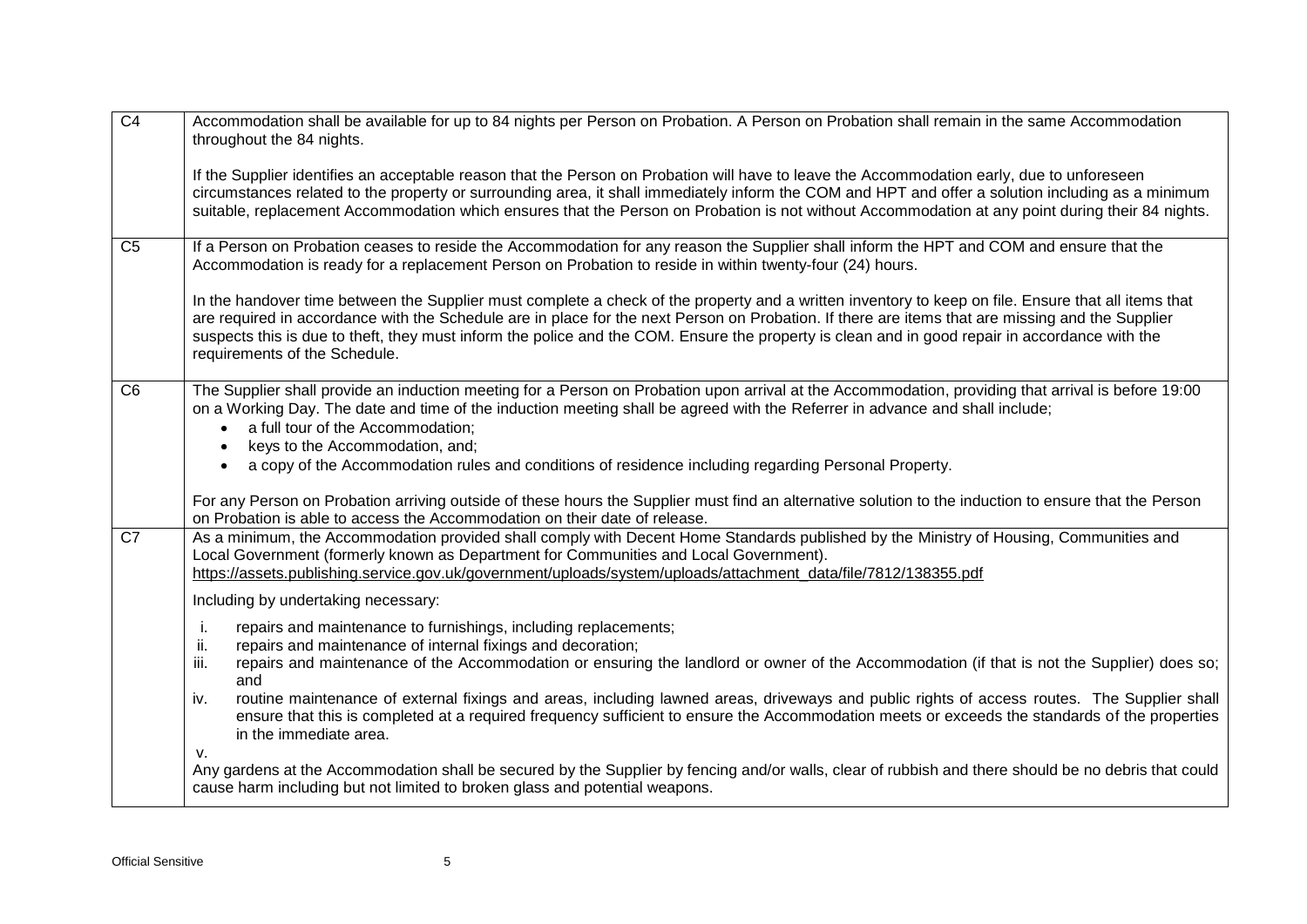| $\overline{C4}$ | Accommodation shall be available for up to 84 nights per Person on Probation. A Person on Probation shall remain in the same Accommodation<br>throughout the 84 nights.                                                                                                                                                                                                                                                                                                                    |
|-----------------|--------------------------------------------------------------------------------------------------------------------------------------------------------------------------------------------------------------------------------------------------------------------------------------------------------------------------------------------------------------------------------------------------------------------------------------------------------------------------------------------|
|                 | If the Supplier identifies an acceptable reason that the Person on Probation will have to leave the Accommodation early, due to unforeseen<br>circumstances related to the property or surrounding area, it shall immediately inform the COM and HPT and offer a solution including as a minimum<br>suitable, replacement Accommodation which ensures that the Person on Probation is not without Accommodation at any point during their 84 nights.                                       |
| C <sub>5</sub>  | If a Person on Probation ceases to reside the Accommodation for any reason the Supplier shall inform the HPT and COM and ensure that the<br>Accommodation is ready for a replacement Person on Probation to reside in within twenty-four (24) hours.                                                                                                                                                                                                                                       |
|                 | In the handover time between the Supplier must complete a check of the property and a written inventory to keep on file. Ensure that all items that<br>are required in accordance with the Schedule are in place for the next Person on Probation. If there are items that are missing and the Supplier<br>suspects this is due to theft, they must inform the police and the COM. Ensure the property is clean and in good repair in accordance with the<br>requirements of the Schedule. |
| C <sub>6</sub>  | The Supplier shall provide an induction meeting for a Person on Probation upon arrival at the Accommodation, providing that arrival is before 19:00<br>on a Working Day. The date and time of the induction meeting shall be agreed with the Referrer in advance and shall include;<br>a full tour of the Accommodation;<br>keys to the Accommodation, and;<br>a copy of the Accommodation rules and conditions of residence including regarding Personal Property.                        |
|                 | For any Person on Probation arriving outside of these hours the Supplier must find an alternative solution to the induction to ensure that the Person<br>on Probation is able to access the Accommodation on their date of release.                                                                                                                                                                                                                                                        |
| $\overline{C7}$ | As a minimum, the Accommodation provided shall comply with Decent Home Standards published by the Ministry of Housing, Communities and<br>Local Government (formerly known as Department for Communities and Local Government).<br>https://assets.publishing.service.gov.uk/government/uploads/system/uploads/attachment_data/file/7812/138355.pdf                                                                                                                                         |
|                 | Including by undertaking necessary:                                                                                                                                                                                                                                                                                                                                                                                                                                                        |
|                 | repairs and maintenance to furnishings, including replacements;<br>j.<br>ii.<br>repairs and maintenance of internal fixings and decoration;<br>iii.<br>repairs and maintenance of the Accommodation or ensuring the landlord or owner of the Accommodation (if that is not the Supplier) does so;<br>and                                                                                                                                                                                   |
|                 | routine maintenance of external fixings and areas, including lawned areas, driveways and public rights of access routes. The Supplier shall<br>iv.<br>ensure that this is completed at a required frequency sufficient to ensure the Accommodation meets or exceeds the standards of the properties<br>in the immediate area.<br>v.                                                                                                                                                        |
|                 | Any gardens at the Accommodation shall be secured by the Supplier by fencing and/or walls, clear of rubbish and there should be no debris that could<br>cause harm including but not limited to broken glass and potential weapons.                                                                                                                                                                                                                                                        |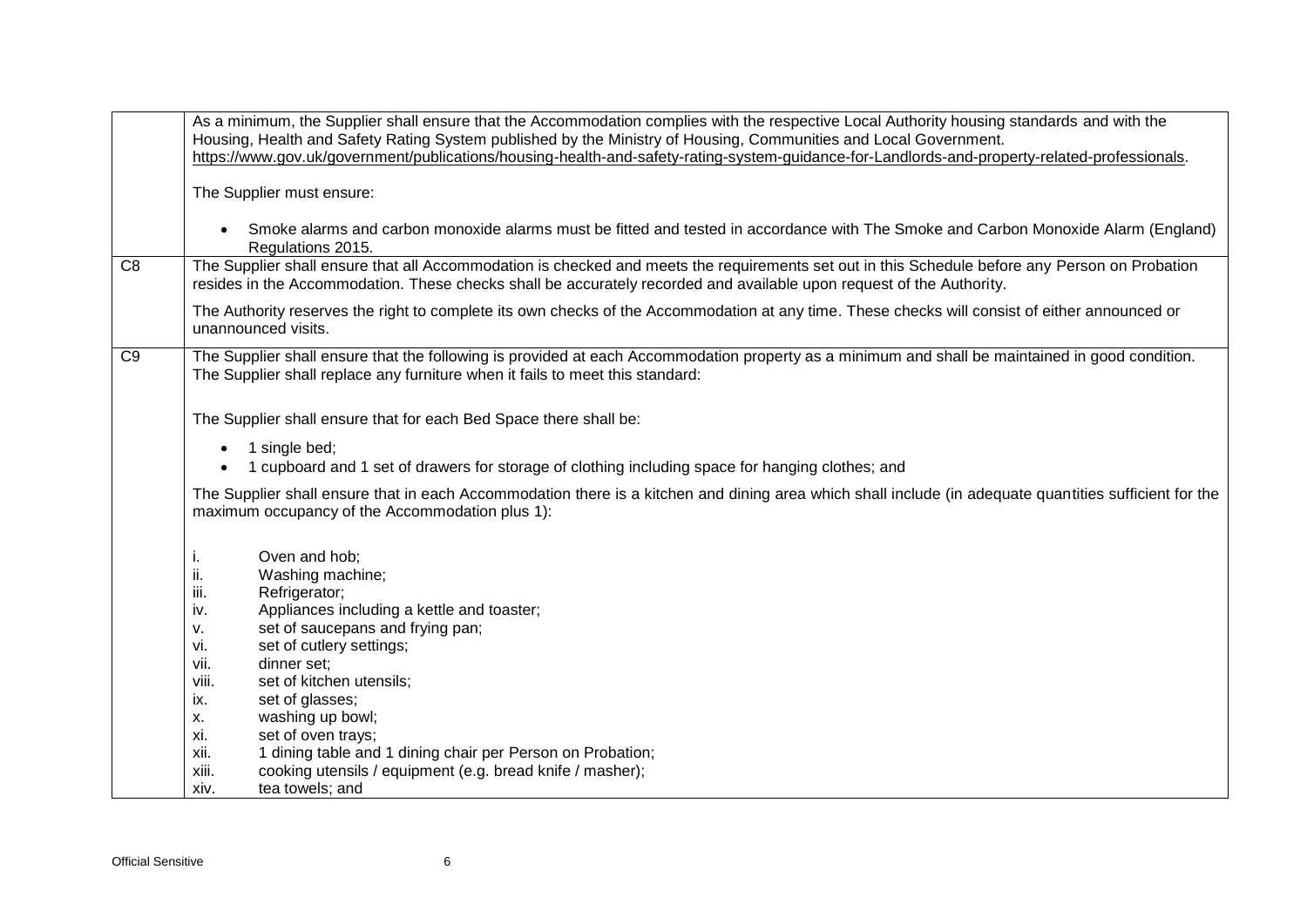|                | As a minimum, the Supplier shall ensure that the Accommodation complies with the respective Local Authority housing standards and with the             |
|----------------|--------------------------------------------------------------------------------------------------------------------------------------------------------|
|                | Housing, Health and Safety Rating System published by the Ministry of Housing, Communities and Local Government.                                       |
|                | https://www.gov.uk/government/publications/housing-health-and-safety-rating-system-guidance-for-Landlords-and-property-related-professionals.          |
|                |                                                                                                                                                        |
|                | The Supplier must ensure:                                                                                                                              |
|                |                                                                                                                                                        |
|                | Smoke alarms and carbon monoxide alarms must be fitted and tested in accordance with The Smoke and Carbon Monoxide Alarm (England)                     |
|                | Regulations 2015.                                                                                                                                      |
| C <sub>8</sub> |                                                                                                                                                        |
|                | The Supplier shall ensure that all Accommodation is checked and meets the requirements set out in this Schedule before any Person on Probation         |
|                | resides in the Accommodation. These checks shall be accurately recorded and available upon request of the Authority.                                   |
|                | The Authority reserves the right to complete its own checks of the Accommodation at any time. These checks will consist of either announced or         |
|                | unannounced visits.                                                                                                                                    |
|                |                                                                                                                                                        |
| C <sub>9</sub> | The Supplier shall ensure that the following is provided at each Accommodation property as a minimum and shall be maintained in good condition.        |
|                | The Supplier shall replace any furniture when it fails to meet this standard:                                                                          |
|                |                                                                                                                                                        |
|                |                                                                                                                                                        |
|                | The Supplier shall ensure that for each Bed Space there shall be:                                                                                      |
|                | 1 single bed;<br>$\bullet$                                                                                                                             |
|                | 1 cupboard and 1 set of drawers for storage of clothing including space for hanging clothes; and                                                       |
|                |                                                                                                                                                        |
|                | The Supplier shall ensure that in each Accommodation there is a kitchen and dining area which shall include (in adequate quantities sufficient for the |
|                | maximum occupancy of the Accommodation plus 1):                                                                                                        |
|                |                                                                                                                                                        |
|                |                                                                                                                                                        |
|                | Oven and hob;<br>i.                                                                                                                                    |
|                | ii.<br>Washing machine;                                                                                                                                |
|                | Refrigerator;<br>III.                                                                                                                                  |
|                | Appliances including a kettle and toaster;<br>iv.                                                                                                      |
|                | set of saucepans and frying pan;<br>٧.                                                                                                                 |
|                | set of cutlery settings;<br>vi.                                                                                                                        |
|                | vii.<br>dinner set;                                                                                                                                    |
|                | viii.<br>set of kitchen utensils;                                                                                                                      |
|                | set of glasses;<br>ix.                                                                                                                                 |
|                | washing up bowl;<br>Х.                                                                                                                                 |
|                | xi.<br>set of oven trays;                                                                                                                              |
|                | xii.<br>1 dining table and 1 dining chair per Person on Probation;                                                                                     |
|                |                                                                                                                                                        |
|                | cooking utensils / equipment (e.g. bread knife / masher);<br>xiii.                                                                                     |
|                | tea towels; and<br>xiv.                                                                                                                                |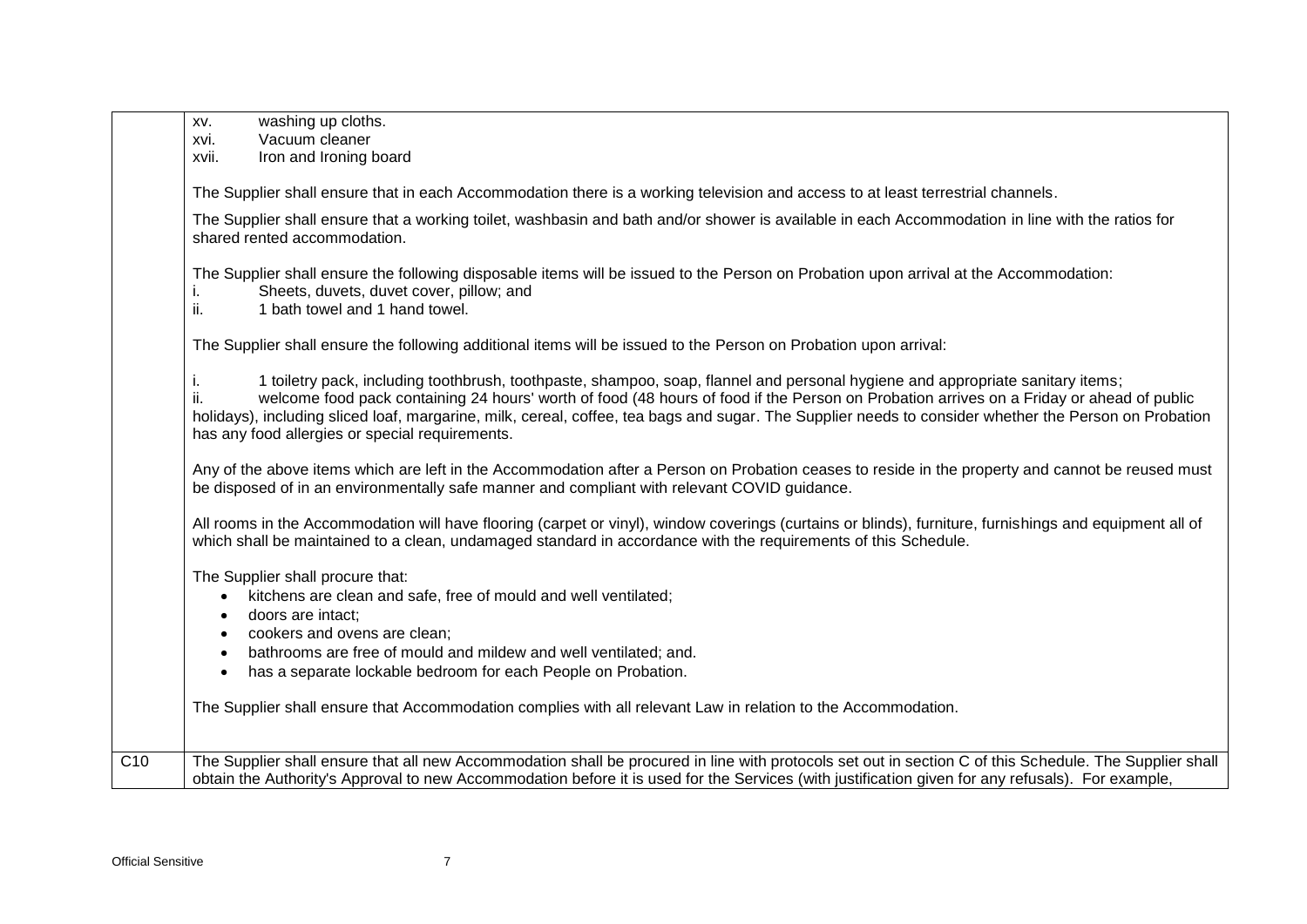|                  | washing up cloths.<br>XV.<br>Vacuum cleaner                                                                                                                                                                                                                                                                                                                                                                                                                                            |
|------------------|----------------------------------------------------------------------------------------------------------------------------------------------------------------------------------------------------------------------------------------------------------------------------------------------------------------------------------------------------------------------------------------------------------------------------------------------------------------------------------------|
|                  | xvi.<br>Iron and Ironing board<br>xvii.                                                                                                                                                                                                                                                                                                                                                                                                                                                |
|                  |                                                                                                                                                                                                                                                                                                                                                                                                                                                                                        |
|                  | The Supplier shall ensure that in each Accommodation there is a working television and access to at least terrestrial channels.                                                                                                                                                                                                                                                                                                                                                        |
|                  | The Supplier shall ensure that a working toilet, washbasin and bath and/or shower is available in each Accommodation in line with the ratios for<br>shared rented accommodation.                                                                                                                                                                                                                                                                                                       |
|                  | The Supplier shall ensure the following disposable items will be issued to the Person on Probation upon arrival at the Accommodation:<br>Sheets, duvets, duvet cover, pillow; and<br>ii.<br>1 bath towel and 1 hand towel.                                                                                                                                                                                                                                                             |
|                  | The Supplier shall ensure the following additional items will be issued to the Person on Probation upon arrival:                                                                                                                                                                                                                                                                                                                                                                       |
|                  | 1 toiletry pack, including toothbrush, toothpaste, shampoo, soap, flannel and personal hygiene and appropriate sanitary items;<br>welcome food pack containing 24 hours' worth of food (48 hours of food if the Person on Probation arrives on a Friday or ahead of public<br>holidays), including sliced loaf, margarine, milk, cereal, coffee, tea bags and sugar. The Supplier needs to consider whether the Person on Probation<br>has any food allergies or special requirements. |
|                  | Any of the above items which are left in the Accommodation after a Person on Probation ceases to reside in the property and cannot be reused must<br>be disposed of in an environmentally safe manner and compliant with relevant COVID guidance.                                                                                                                                                                                                                                      |
|                  | All rooms in the Accommodation will have flooring (carpet or vinyl), window coverings (curtains or blinds), furniture, furnishings and equipment all of<br>which shall be maintained to a clean, undamaged standard in accordance with the requirements of this Schedule.                                                                                                                                                                                                              |
|                  | The Supplier shall procure that:<br>kitchens are clean and safe, free of mould and well ventilated;<br>$\bullet$<br>doors are intact:<br>$\bullet$<br>cookers and ovens are clean;<br>bathrooms are free of mould and mildew and well ventilated; and.<br>has a separate lockable bedroom for each People on Probation.<br>$\bullet$                                                                                                                                                   |
|                  | The Supplier shall ensure that Accommodation complies with all relevant Law in relation to the Accommodation.                                                                                                                                                                                                                                                                                                                                                                          |
| $\overline{C10}$ | The Supplier shall ensure that all new Accommodation shall be procured in line with protocols set out in section C of this Schedule. The Supplier shall<br>obtain the Authority's Approval to new Accommodation before it is used for the Services (with justification given for any refusals). For example,                                                                                                                                                                           |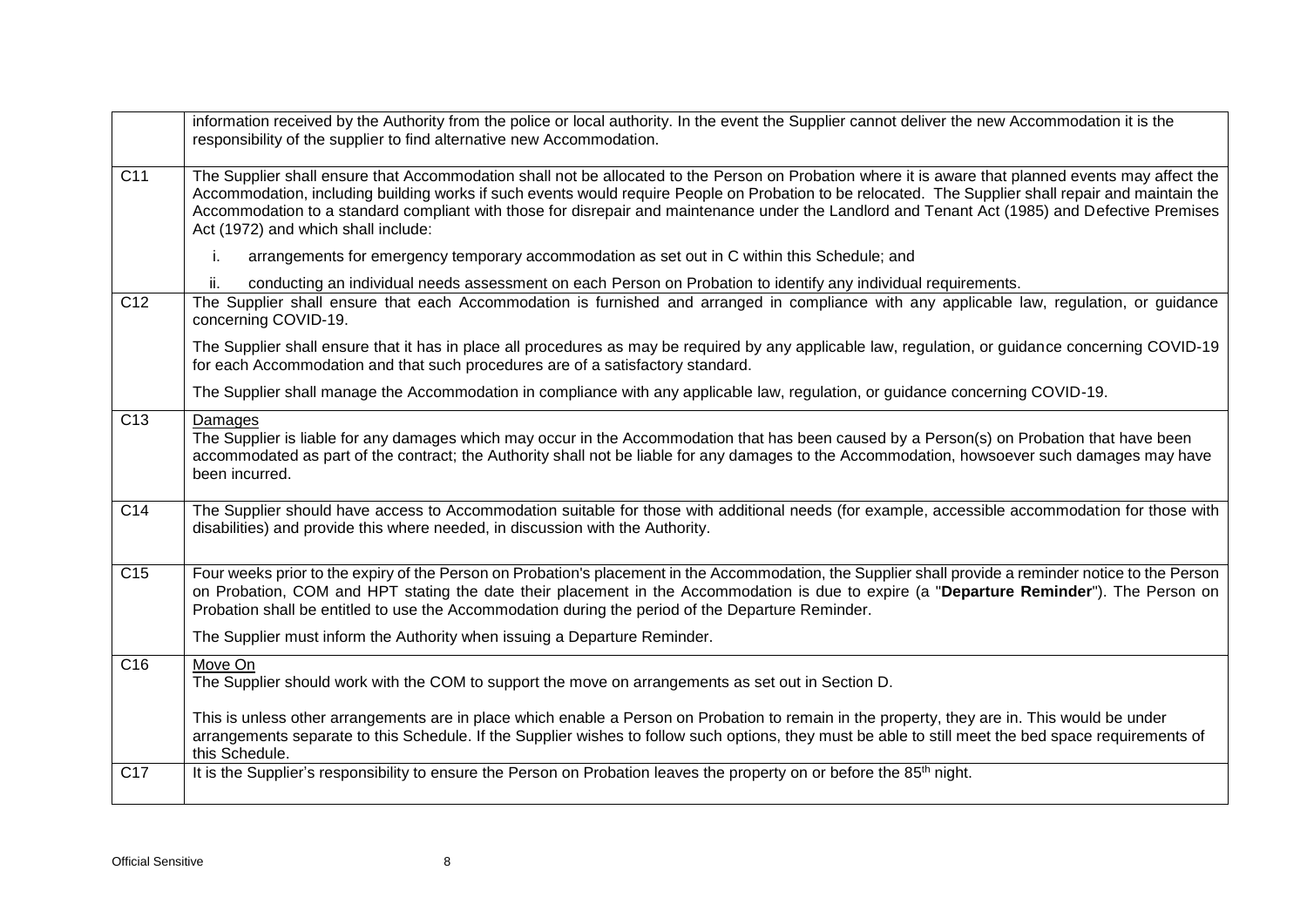|                 | information received by the Authority from the police or local authority. In the event the Supplier cannot deliver the new Accommodation it is the<br>responsibility of the supplier to find alternative new Accommodation.                                                                                                                                                                                                                                                                          |
|-----------------|------------------------------------------------------------------------------------------------------------------------------------------------------------------------------------------------------------------------------------------------------------------------------------------------------------------------------------------------------------------------------------------------------------------------------------------------------------------------------------------------------|
| C <sub>11</sub> | The Supplier shall ensure that Accommodation shall not be allocated to the Person on Probation where it is aware that planned events may affect the<br>Accommodation, including building works if such events would require People on Probation to be relocated. The Supplier shall repair and maintain the<br>Accommodation to a standard compliant with those for disrepair and maintenance under the Landlord and Tenant Act (1985) and Defective Premises<br>Act (1972) and which shall include: |
|                 | arrangements for emergency temporary accommodation as set out in C within this Schedule; and<br>i.                                                                                                                                                                                                                                                                                                                                                                                                   |
|                 | conducting an individual needs assessment on each Person on Probation to identify any individual requirements.<br>ii.                                                                                                                                                                                                                                                                                                                                                                                |
| C <sub>12</sub> | The Supplier shall ensure that each Accommodation is furnished and arranged in compliance with any applicable law, regulation, or guidance<br>concerning COVID-19.                                                                                                                                                                                                                                                                                                                                   |
|                 | The Supplier shall ensure that it has in place all procedures as may be required by any applicable law, regulation, or guidance concerning COVID-19<br>for each Accommodation and that such procedures are of a satisfactory standard.                                                                                                                                                                                                                                                               |
|                 | The Supplier shall manage the Accommodation in compliance with any applicable law, regulation, or guidance concerning COVID-19.                                                                                                                                                                                                                                                                                                                                                                      |
| C <sub>13</sub> | Damages<br>The Supplier is liable for any damages which may occur in the Accommodation that has been caused by a Person(s) on Probation that have been<br>accommodated as part of the contract; the Authority shall not be liable for any damages to the Accommodation, howsoever such damages may have<br>been incurred.                                                                                                                                                                            |
| C14             | The Supplier should have access to Accommodation suitable for those with additional needs (for example, accessible accommodation for those with<br>disabilities) and provide this where needed, in discussion with the Authority.                                                                                                                                                                                                                                                                    |
| C <sub>15</sub> | Four weeks prior to the expiry of the Person on Probation's placement in the Accommodation, the Supplier shall provide a reminder notice to the Person<br>on Probation, COM and HPT stating the date their placement in the Accommodation is due to expire (a "Departure Reminder"). The Person on<br>Probation shall be entitled to use the Accommodation during the period of the Departure Reminder.                                                                                              |
|                 | The Supplier must inform the Authority when issuing a Departure Reminder.                                                                                                                                                                                                                                                                                                                                                                                                                            |
| C <sub>16</sub> | Move On<br>The Supplier should work with the COM to support the move on arrangements as set out in Section D.                                                                                                                                                                                                                                                                                                                                                                                        |
|                 | This is unless other arrangements are in place which enable a Person on Probation to remain in the property, they are in. This would be under<br>arrangements separate to this Schedule. If the Supplier wishes to follow such options, they must be able to still meet the bed space requirements of<br>this Schedule.                                                                                                                                                                              |
| C17             | It is the Supplier's responsibility to ensure the Person on Probation leaves the property on or before the 85 <sup>th</sup> night.                                                                                                                                                                                                                                                                                                                                                                   |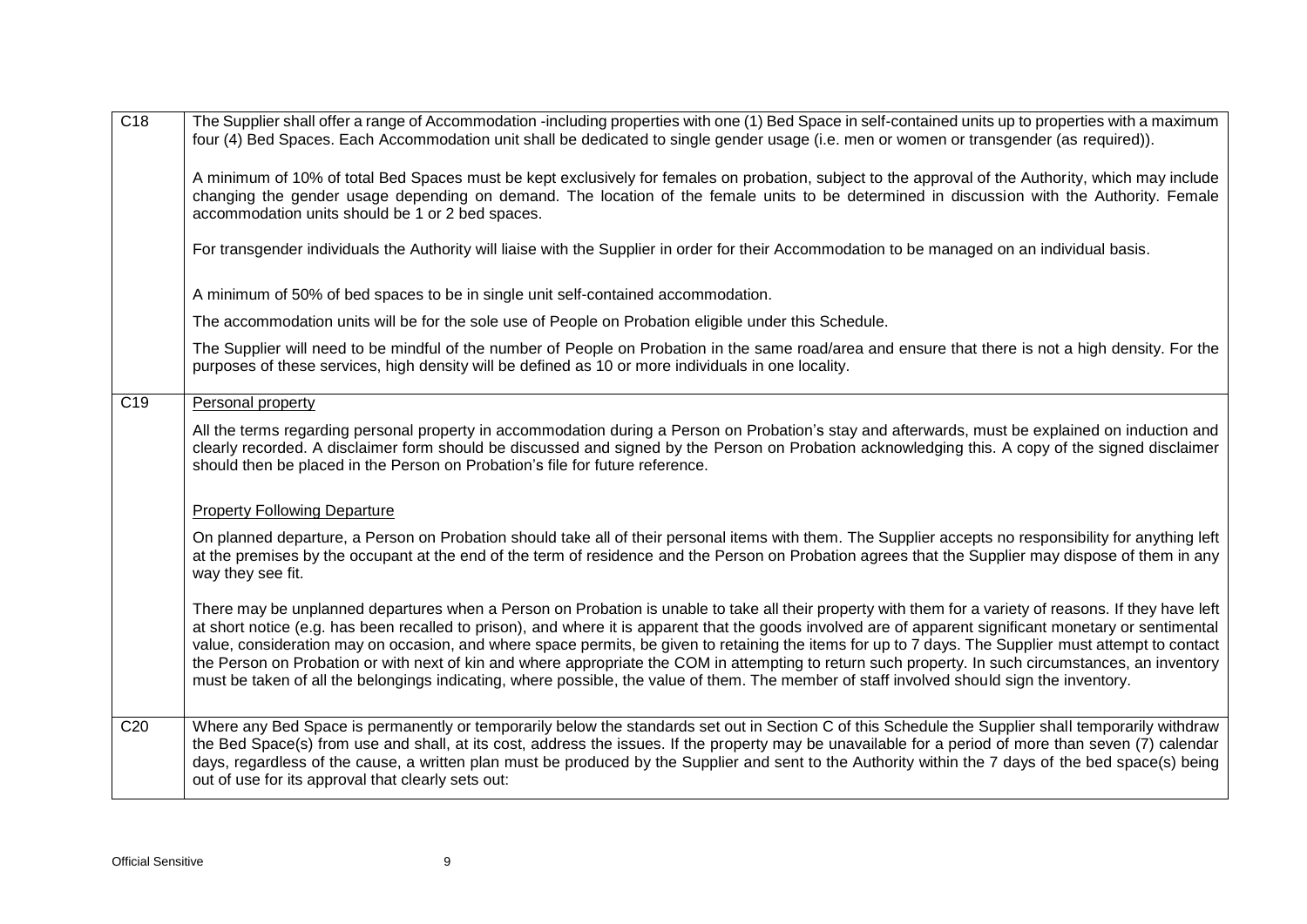| C18              | The Supplier shall offer a range of Accommodation -including properties with one (1) Bed Space in self-contained units up to properties with a maximum<br>four (4) Bed Spaces. Each Accommodation unit shall be dedicated to single gender usage (i.e. men or women or transgender (as required)).<br>A minimum of 10% of total Bed Spaces must be kept exclusively for females on probation, subject to the approval of the Authority, which may include<br>changing the gender usage depending on demand. The location of the female units to be determined in discussion with the Authority. Female<br>accommodation units should be 1 or 2 bed spaces.                                                                                                                         |
|------------------|------------------------------------------------------------------------------------------------------------------------------------------------------------------------------------------------------------------------------------------------------------------------------------------------------------------------------------------------------------------------------------------------------------------------------------------------------------------------------------------------------------------------------------------------------------------------------------------------------------------------------------------------------------------------------------------------------------------------------------------------------------------------------------|
|                  | For transgender individuals the Authority will liaise with the Supplier in order for their Accommodation to be managed on an individual basis.                                                                                                                                                                                                                                                                                                                                                                                                                                                                                                                                                                                                                                     |
|                  | A minimum of 50% of bed spaces to be in single unit self-contained accommodation.                                                                                                                                                                                                                                                                                                                                                                                                                                                                                                                                                                                                                                                                                                  |
|                  | The accommodation units will be for the sole use of People on Probation eligible under this Schedule.                                                                                                                                                                                                                                                                                                                                                                                                                                                                                                                                                                                                                                                                              |
|                  | The Supplier will need to be mindful of the number of People on Probation in the same road/area and ensure that there is not a high density. For the<br>purposes of these services, high density will be defined as 10 or more individuals in one locality.                                                                                                                                                                                                                                                                                                                                                                                                                                                                                                                        |
| $\overline{C19}$ | Personal property                                                                                                                                                                                                                                                                                                                                                                                                                                                                                                                                                                                                                                                                                                                                                                  |
|                  | All the terms regarding personal property in accommodation during a Person on Probation's stay and afterwards, must be explained on induction and<br>clearly recorded. A disclaimer form should be discussed and signed by the Person on Probation acknowledging this. A copy of the signed disclaimer<br>should then be placed in the Person on Probation's file for future reference.                                                                                                                                                                                                                                                                                                                                                                                            |
|                  | <b>Property Following Departure</b>                                                                                                                                                                                                                                                                                                                                                                                                                                                                                                                                                                                                                                                                                                                                                |
|                  | On planned departure, a Person on Probation should take all of their personal items with them. The Supplier accepts no responsibility for anything left<br>at the premises by the occupant at the end of the term of residence and the Person on Probation agrees that the Supplier may dispose of them in any<br>way they see fit.                                                                                                                                                                                                                                                                                                                                                                                                                                                |
|                  | There may be unplanned departures when a Person on Probation is unable to take all their property with them for a variety of reasons. If they have left<br>at short notice (e.g. has been recalled to prison), and where it is apparent that the goods involved are of apparent significant monetary or sentimental<br>value, consideration may on occasion, and where space permits, be given to retaining the items for up to 7 days. The Supplier must attempt to contact<br>the Person on Probation or with next of kin and where appropriate the COM in attempting to return such property. In such circumstances, an inventory<br>must be taken of all the belongings indicating, where possible, the value of them. The member of staff involved should sign the inventory. |
| C <sub>20</sub>  | Where any Bed Space is permanently or temporarily below the standards set out in Section C of this Schedule the Supplier shall temporarily withdraw<br>the Bed Space(s) from use and shall, at its cost, address the issues. If the property may be unavailable for a period of more than seven (7) calendar<br>days, regardless of the cause, a written plan must be produced by the Supplier and sent to the Authority within the 7 days of the bed space(s) being<br>out of use for its approval that clearly sets out:                                                                                                                                                                                                                                                         |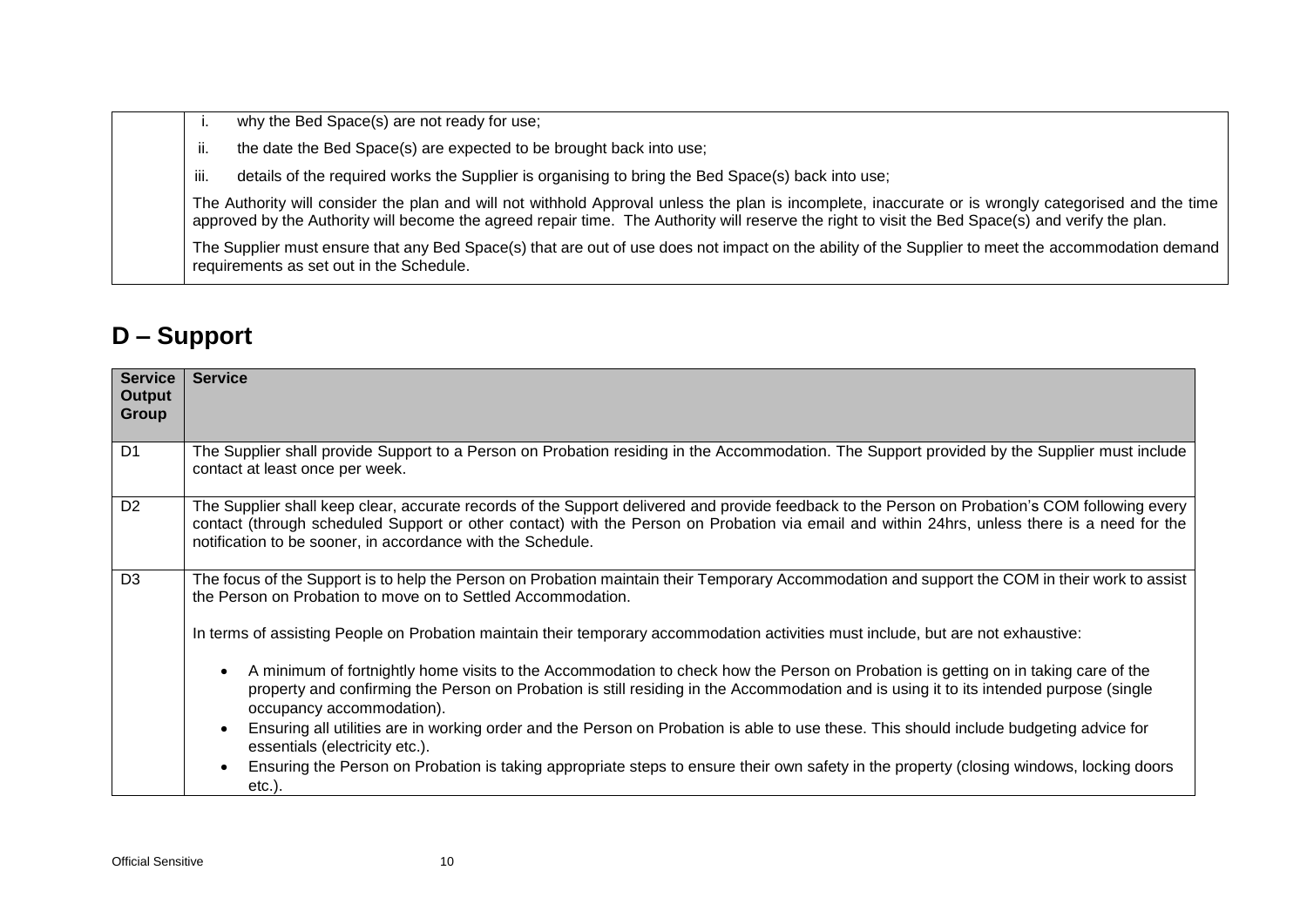| why the Bed Space(s) are not ready for use;                                                                                                                                                                                                                                                               |
|-----------------------------------------------------------------------------------------------------------------------------------------------------------------------------------------------------------------------------------------------------------------------------------------------------------|
| the date the Bed Space(s) are expected to be brought back into use;<br>ii.                                                                                                                                                                                                                                |
| details of the required works the Supplier is organising to bring the Bed Space(s) back into use;<br>iii.                                                                                                                                                                                                 |
| The Authority will consider the plan and will not withhold Approval unless the plan is incomplete, inaccurate or is wrongly categorised and the time<br>approved by the Authority will become the agreed repair time. The Authority will reserve the right to visit the Bed Space(s) and verify the plan. |
| The Supplier must ensure that any Bed Space(s) that are out of use does not impact on the ability of the Supplier to meet the accommodation demand<br>requirements as set out in the Schedule.                                                                                                            |

### **D – Support**

| <b>Service</b><br>Output<br><b>Group</b> | <b>Service</b>                                                                                                                                                                                                                                                                                                                                                |
|------------------------------------------|---------------------------------------------------------------------------------------------------------------------------------------------------------------------------------------------------------------------------------------------------------------------------------------------------------------------------------------------------------------|
| D <sub>1</sub>                           | The Supplier shall provide Support to a Person on Probation residing in the Accommodation. The Support provided by the Supplier must include<br>contact at least once per week.                                                                                                                                                                               |
| D <sub>2</sub>                           | The Supplier shall keep clear, accurate records of the Support delivered and provide feedback to the Person on Probation's COM following every<br>contact (through scheduled Support or other contact) with the Person on Probation via email and within 24hrs, unless there is a need for the<br>notification to be sooner, in accordance with the Schedule. |
| D <sub>3</sub>                           | The focus of the Support is to help the Person on Probation maintain their Temporary Accommodation and support the COM in their work to assist<br>the Person on Probation to move on to Settled Accommodation.                                                                                                                                                |
|                                          | In terms of assisting People on Probation maintain their temporary accommodation activities must include, but are not exhaustive:                                                                                                                                                                                                                             |
|                                          | A minimum of fortnightly home visits to the Accommodation to check how the Person on Probation is getting on in taking care of the<br>property and confirming the Person on Probation is still residing in the Accommodation and is using it to its intended purpose (single<br>occupancy accommodation).                                                     |
|                                          | Ensuring all utilities are in working order and the Person on Probation is able to use these. This should include budgeting advice for<br>essentials (electricity etc.).                                                                                                                                                                                      |
|                                          | Ensuring the Person on Probation is taking appropriate steps to ensure their own safety in the property (closing windows, locking doors<br>$etc.$ ).                                                                                                                                                                                                          |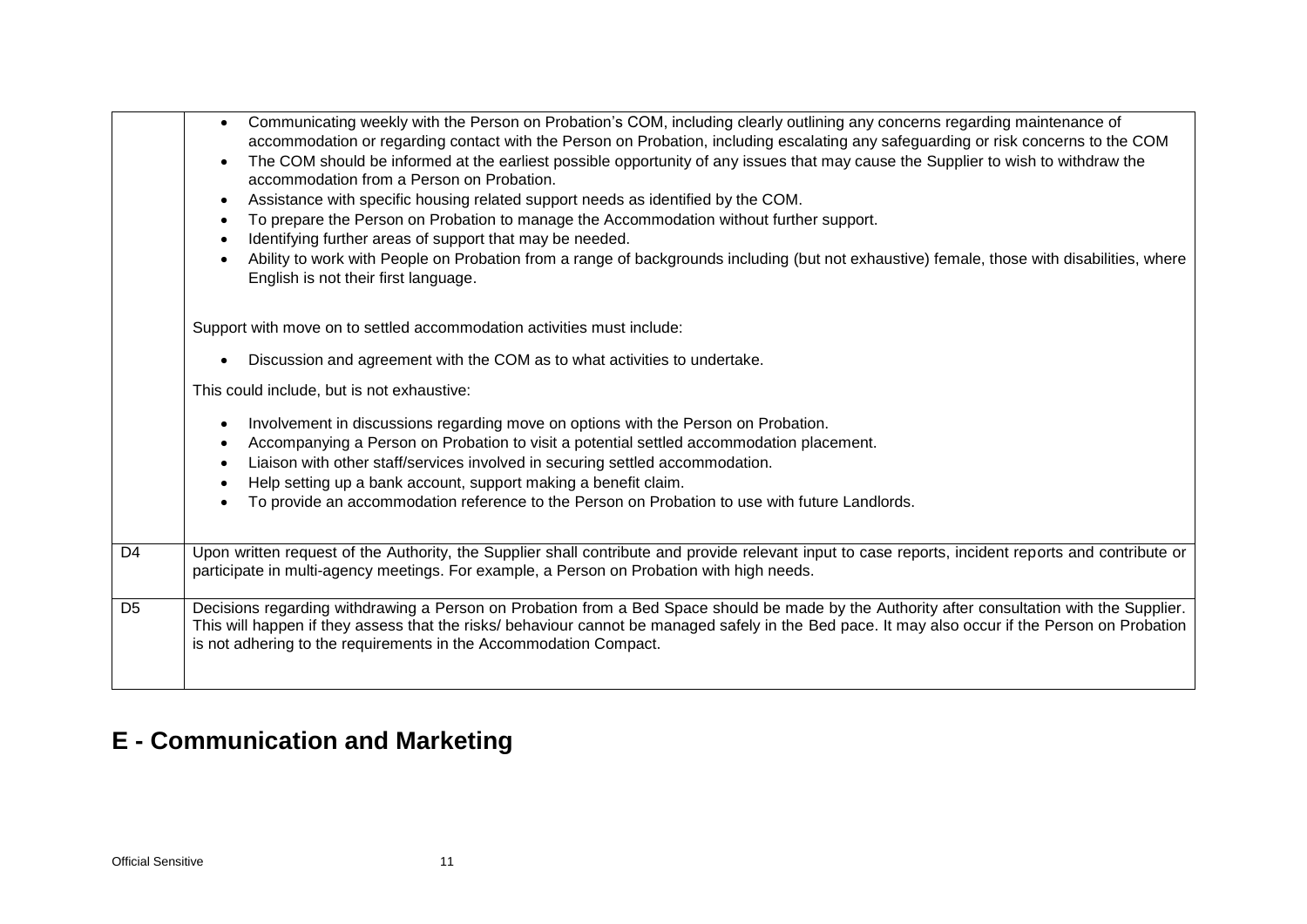|                | Communicating weekly with the Person on Probation's COM, including clearly outlining any concerns regarding maintenance of<br>$\bullet$<br>accommodation or regarding contact with the Person on Probation, including escalating any safeguarding or risk concerns to the COM<br>The COM should be informed at the earliest possible opportunity of any issues that may cause the Supplier to wish to withdraw the<br>accommodation from a Person on Probation.<br>Assistance with specific housing related support needs as identified by the COM.<br>To prepare the Person on Probation to manage the Accommodation without further support.<br>Identifying further areas of support that may be needed.<br>Ability to work with People on Probation from a range of backgrounds including (but not exhaustive) female, those with disabilities, where<br>English is not their first language. |
|----------------|--------------------------------------------------------------------------------------------------------------------------------------------------------------------------------------------------------------------------------------------------------------------------------------------------------------------------------------------------------------------------------------------------------------------------------------------------------------------------------------------------------------------------------------------------------------------------------------------------------------------------------------------------------------------------------------------------------------------------------------------------------------------------------------------------------------------------------------------------------------------------------------------------|
|                | Support with move on to settled accommodation activities must include:                                                                                                                                                                                                                                                                                                                                                                                                                                                                                                                                                                                                                                                                                                                                                                                                                           |
|                | Discussion and agreement with the COM as to what activities to undertake.                                                                                                                                                                                                                                                                                                                                                                                                                                                                                                                                                                                                                                                                                                                                                                                                                        |
|                | This could include, but is not exhaustive:                                                                                                                                                                                                                                                                                                                                                                                                                                                                                                                                                                                                                                                                                                                                                                                                                                                       |
|                | Involvement in discussions regarding move on options with the Person on Probation.<br>Accompanying a Person on Probation to visit a potential settled accommodation placement.<br>Liaison with other staff/services involved in securing settled accommodation.<br>Help setting up a bank account, support making a benefit claim.<br>To provide an accommodation reference to the Person on Probation to use with future Landlords.                                                                                                                                                                                                                                                                                                                                                                                                                                                             |
| D <sub>4</sub> | Upon written request of the Authority, the Supplier shall contribute and provide relevant input to case reports, incident reports and contribute or<br>participate in multi-agency meetings. For example, a Person on Probation with high needs.                                                                                                                                                                                                                                                                                                                                                                                                                                                                                                                                                                                                                                                 |
| D <sub>5</sub> | Decisions regarding withdrawing a Person on Probation from a Bed Space should be made by the Authority after consultation with the Supplier.<br>This will happen if they assess that the risks/ behaviour cannot be managed safely in the Bed pace. It may also occur if the Person on Probation<br>is not adhering to the requirements in the Accommodation Compact.                                                                                                                                                                                                                                                                                                                                                                                                                                                                                                                            |

# **E - Communication and Marketing**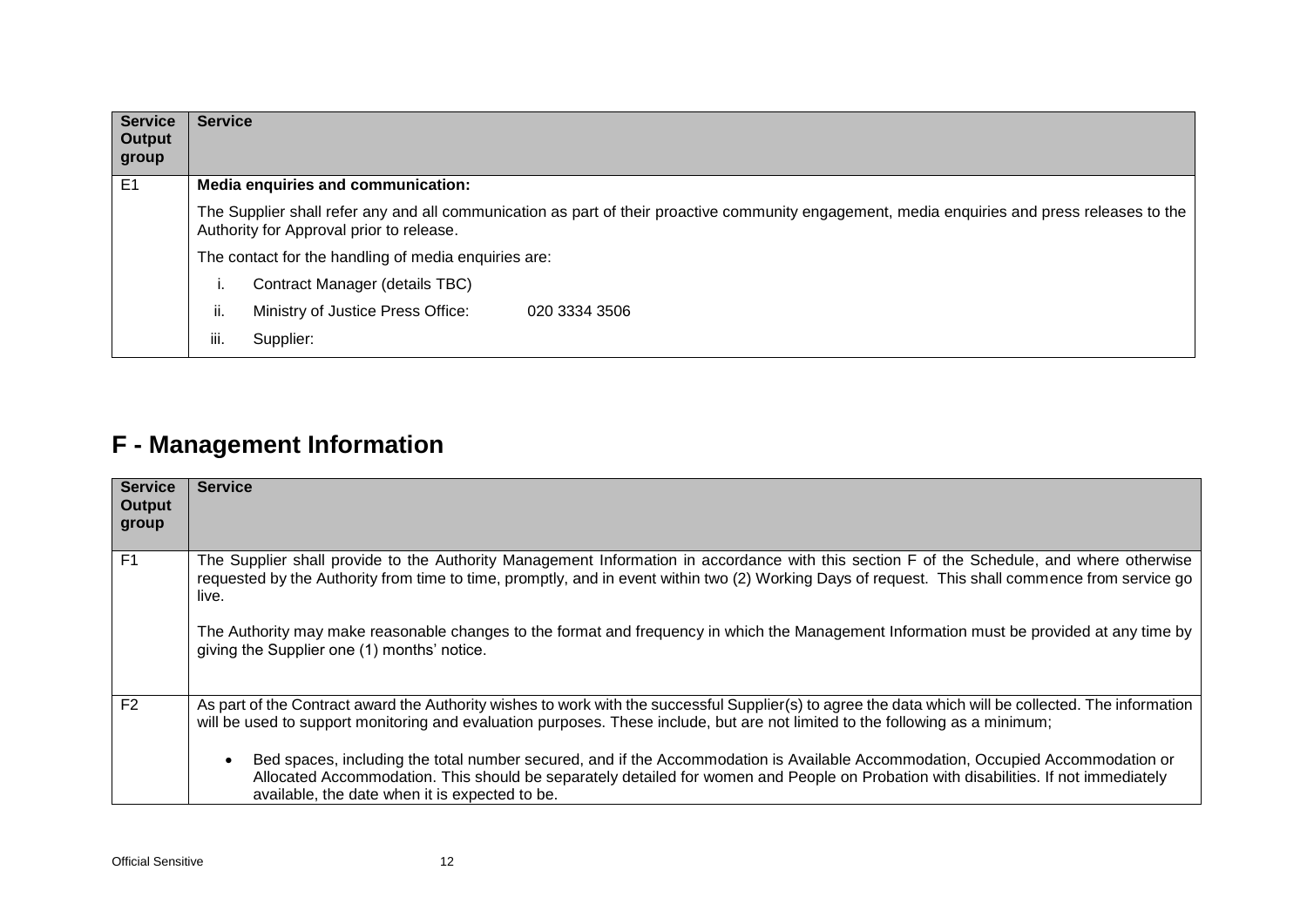| <b>Service</b><br>Output<br>group | <b>Service</b>                                                                                                                                                                            |                                                      |  |  |  |  |  |  |  |  |  |  |  |
|-----------------------------------|-------------------------------------------------------------------------------------------------------------------------------------------------------------------------------------------|------------------------------------------------------|--|--|--|--|--|--|--|--|--|--|--|
| E <sub>1</sub>                    |                                                                                                                                                                                           | Media enquiries and communication:                   |  |  |  |  |  |  |  |  |  |  |  |
|                                   | The Supplier shall refer any and all communication as part of their proactive community engagement, media enquiries and press releases to the<br>Authority for Approval prior to release. |                                                      |  |  |  |  |  |  |  |  |  |  |  |
|                                   |                                                                                                                                                                                           | The contact for the handling of media enquiries are: |  |  |  |  |  |  |  |  |  |  |  |
|                                   | Contract Manager (details TBC)<br>٠.                                                                                                                                                      |                                                      |  |  |  |  |  |  |  |  |  |  |  |
|                                   | ii.<br>Ministry of Justice Press Office:<br>020 3334 3506                                                                                                                                 |                                                      |  |  |  |  |  |  |  |  |  |  |  |
|                                   | iii.                                                                                                                                                                                      | Supplier:                                            |  |  |  |  |  |  |  |  |  |  |  |

### **F - Management Information**

| <b>Service</b><br><b>Output</b><br>group | <b>Service</b>                                                                                                                                                                                                                                                                                                          |
|------------------------------------------|-------------------------------------------------------------------------------------------------------------------------------------------------------------------------------------------------------------------------------------------------------------------------------------------------------------------------|
| F <sub>1</sub>                           | The Supplier shall provide to the Authority Management Information in accordance with this section F of the Schedule, and where otherwise<br>requested by the Authority from time to time, promptly, and in event within two (2) Working Days of request. This shall commence from service go<br>live.                  |
|                                          | The Authority may make reasonable changes to the format and frequency in which the Management Information must be provided at any time by<br>giving the Supplier one (1) months' notice.                                                                                                                                |
| F <sub>2</sub>                           | As part of the Contract award the Authority wishes to work with the successful Supplier(s) to agree the data which will be collected. The information<br>will be used to support monitoring and evaluation purposes. These include, but are not limited to the following as a minimum;                                  |
|                                          | Bed spaces, including the total number secured, and if the Accommodation is Available Accommodation, Occupied Accommodation or<br>Allocated Accommodation. This should be separately detailed for women and People on Probation with disabilities. If not immediately<br>available, the date when it is expected to be. |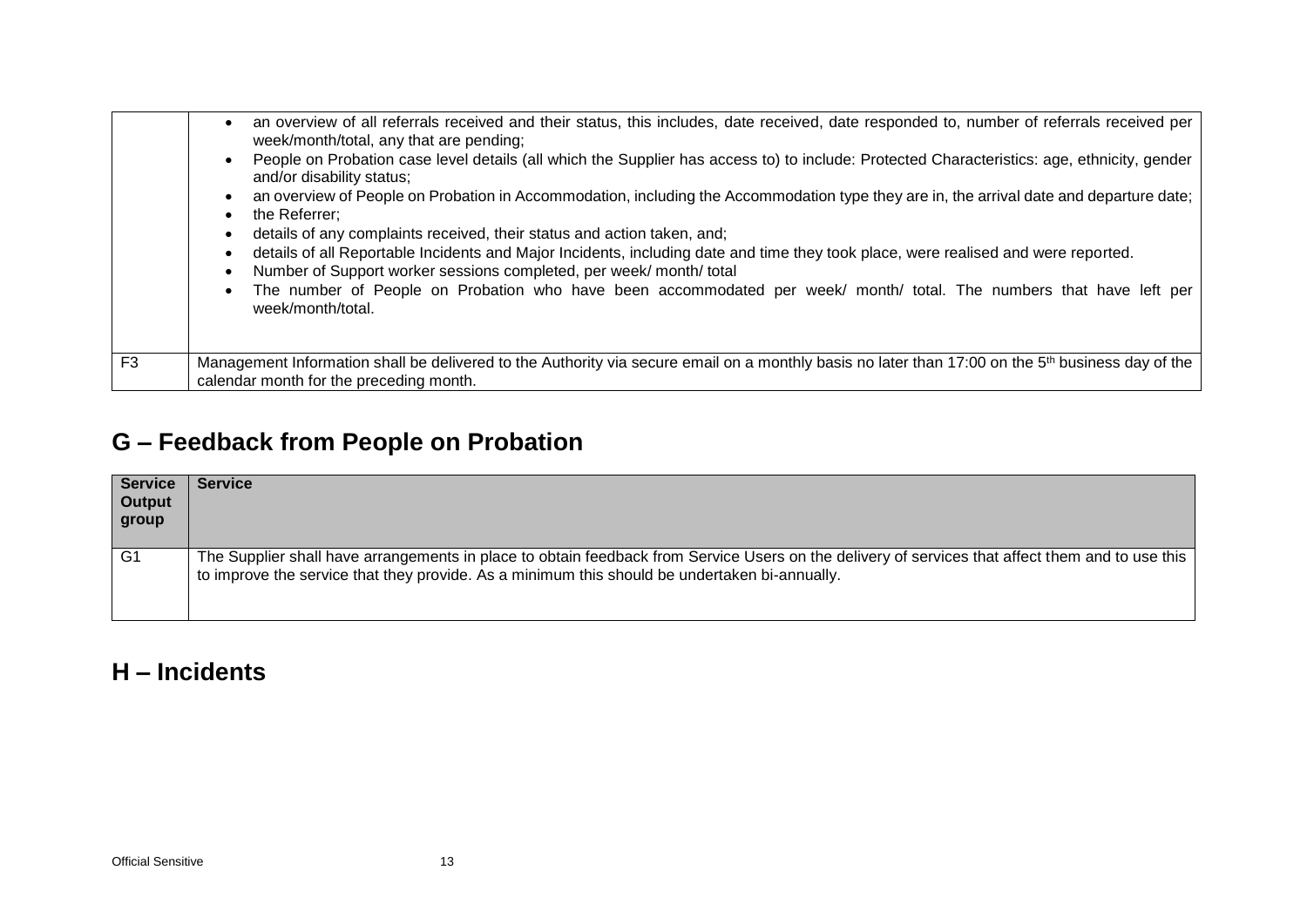|                | an overview of all referrals received and their status, this includes, date received, date responded to, number of referrals received per<br>week/month/total, any that are pending;<br>People on Probation case level details (all which the Supplier has access to) to include: Protected Characteristics: age, ethnicity, gender<br>and/or disability status;<br>an overview of People on Probation in Accommodation, including the Accommodation type they are in, the arrival date and departure date;<br>the Referrer:<br>details of any complaints received, their status and action taken, and;<br>details of all Reportable Incidents and Major Incidents, including date and time they took place, were realised and were reported.<br>Number of Support worker sessions completed, per week/month/total<br>The number of People on Probation who have been accommodated per week/ month/ total. The numbers that have left per<br>week/month/total. |
|----------------|----------------------------------------------------------------------------------------------------------------------------------------------------------------------------------------------------------------------------------------------------------------------------------------------------------------------------------------------------------------------------------------------------------------------------------------------------------------------------------------------------------------------------------------------------------------------------------------------------------------------------------------------------------------------------------------------------------------------------------------------------------------------------------------------------------------------------------------------------------------------------------------------------------------------------------------------------------------|
| F <sub>3</sub> | Management Information shall be delivered to the Authority via secure email on a monthly basis no later than 17:00 on the 5 <sup>th</sup> business day of the<br>calendar month for the preceding month.                                                                                                                                                                                                                                                                                                                                                                                                                                                                                                                                                                                                                                                                                                                                                       |

# **G – Feedback from People on Probation**

| <b>Service</b><br><b>Output</b><br>group | <b>Service</b>                                                                                                                                                                                                                                    |
|------------------------------------------|---------------------------------------------------------------------------------------------------------------------------------------------------------------------------------------------------------------------------------------------------|
| G <sub>1</sub>                           | The Supplier shall have arrangements in place to obtain feedback from Service Users on the delivery of services that affect them and to use this<br>to improve the service that they provide. As a minimum this should be undertaken bi-annually. |

#### **H – Incidents**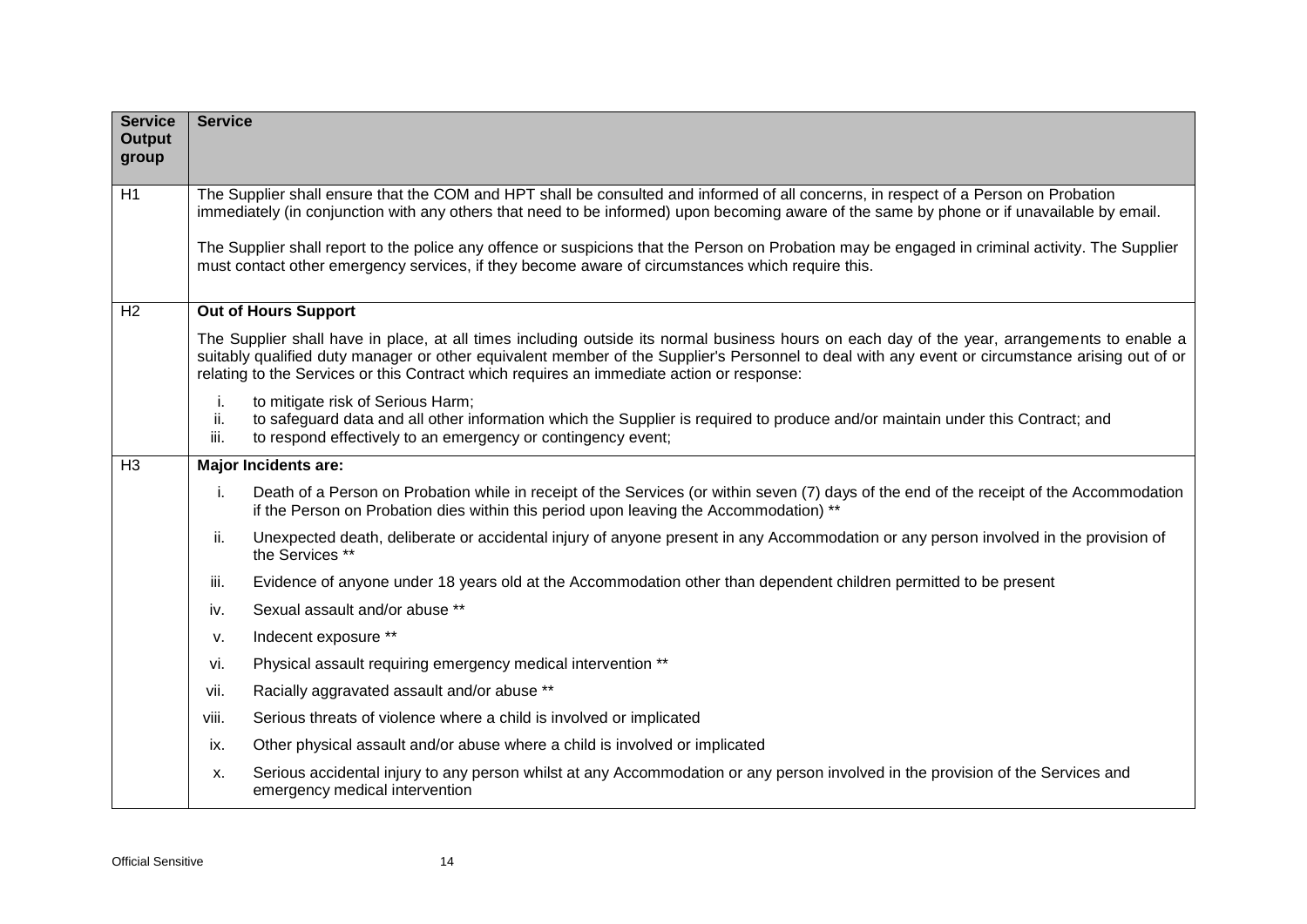| <b>Service</b><br><b>Output</b><br>group | <b>Service</b>                                                                                                                                                                                                                                       |                                                                                                                                                                                                                                                                                                                                                                                              |  |  |  |  |  |  |  |  |  |  |  |
|------------------------------------------|------------------------------------------------------------------------------------------------------------------------------------------------------------------------------------------------------------------------------------------------------|----------------------------------------------------------------------------------------------------------------------------------------------------------------------------------------------------------------------------------------------------------------------------------------------------------------------------------------------------------------------------------------------|--|--|--|--|--|--|--|--|--|--|--|
| H1                                       |                                                                                                                                                                                                                                                      | The Supplier shall ensure that the COM and HPT shall be consulted and informed of all concerns, in respect of a Person on Probation<br>immediately (in conjunction with any others that need to be informed) upon becoming aware of the same by phone or if unavailable by email.                                                                                                            |  |  |  |  |  |  |  |  |  |  |  |
|                                          | The Supplier shall report to the police any offence or suspicions that the Person on Probation may be engaged in criminal activity. The Supplier<br>must contact other emergency services, if they become aware of circumstances which require this. |                                                                                                                                                                                                                                                                                                                                                                                              |  |  |  |  |  |  |  |  |  |  |  |
| H2                                       | <b>Out of Hours Support</b>                                                                                                                                                                                                                          |                                                                                                                                                                                                                                                                                                                                                                                              |  |  |  |  |  |  |  |  |  |  |  |
|                                          |                                                                                                                                                                                                                                                      | The Supplier shall have in place, at all times including outside its normal business hours on each day of the year, arrangements to enable a<br>suitably qualified duty manager or other equivalent member of the Supplier's Personnel to deal with any event or circumstance arising out of or<br>relating to the Services or this Contract which requires an immediate action or response: |  |  |  |  |  |  |  |  |  |  |  |
|                                          | j.<br>ii.<br>iii.                                                                                                                                                                                                                                    | to mitigate risk of Serious Harm;<br>to safeguard data and all other information which the Supplier is required to produce and/or maintain under this Contract; and<br>to respond effectively to an emergency or contingency event;                                                                                                                                                          |  |  |  |  |  |  |  |  |  |  |  |
| H <sub>3</sub>                           |                                                                                                                                                                                                                                                      | <b>Major Incidents are:</b>                                                                                                                                                                                                                                                                                                                                                                  |  |  |  |  |  |  |  |  |  |  |  |
|                                          | i.<br>Death of a Person on Probation while in receipt of the Services (or within seven (7) days of the end of the receipt of the Accommodation<br>if the Person on Probation dies within this period upon leaving the Accommodation) **              |                                                                                                                                                                                                                                                                                                                                                                                              |  |  |  |  |  |  |  |  |  |  |  |
|                                          | ii.<br>Unexpected death, deliberate or accidental injury of anyone present in any Accommodation or any person involved in the provision of<br>the Services **                                                                                        |                                                                                                                                                                                                                                                                                                                                                                                              |  |  |  |  |  |  |  |  |  |  |  |
|                                          | iii.                                                                                                                                                                                                                                                 | Evidence of anyone under 18 years old at the Accommodation other than dependent children permitted to be present                                                                                                                                                                                                                                                                             |  |  |  |  |  |  |  |  |  |  |  |
|                                          | iv.                                                                                                                                                                                                                                                  | Sexual assault and/or abuse **                                                                                                                                                                                                                                                                                                                                                               |  |  |  |  |  |  |  |  |  |  |  |
|                                          | v.                                                                                                                                                                                                                                                   | Indecent exposure **                                                                                                                                                                                                                                                                                                                                                                         |  |  |  |  |  |  |  |  |  |  |  |
|                                          | vi.                                                                                                                                                                                                                                                  | Physical assault requiring emergency medical intervention **                                                                                                                                                                                                                                                                                                                                 |  |  |  |  |  |  |  |  |  |  |  |
|                                          | Racially aggravated assault and/or abuse **<br>vii.                                                                                                                                                                                                  |                                                                                                                                                                                                                                                                                                                                                                                              |  |  |  |  |  |  |  |  |  |  |  |
|                                          | Serious threats of violence where a child is involved or implicated<br>viii.                                                                                                                                                                         |                                                                                                                                                                                                                                                                                                                                                                                              |  |  |  |  |  |  |  |  |  |  |  |
|                                          | ix.                                                                                                                                                                                                                                                  | Other physical assault and/or abuse where a child is involved or implicated                                                                                                                                                                                                                                                                                                                  |  |  |  |  |  |  |  |  |  |  |  |
|                                          | X.                                                                                                                                                                                                                                                   | Serious accidental injury to any person whilst at any Accommodation or any person involved in the provision of the Services and<br>emergency medical intervention                                                                                                                                                                                                                            |  |  |  |  |  |  |  |  |  |  |  |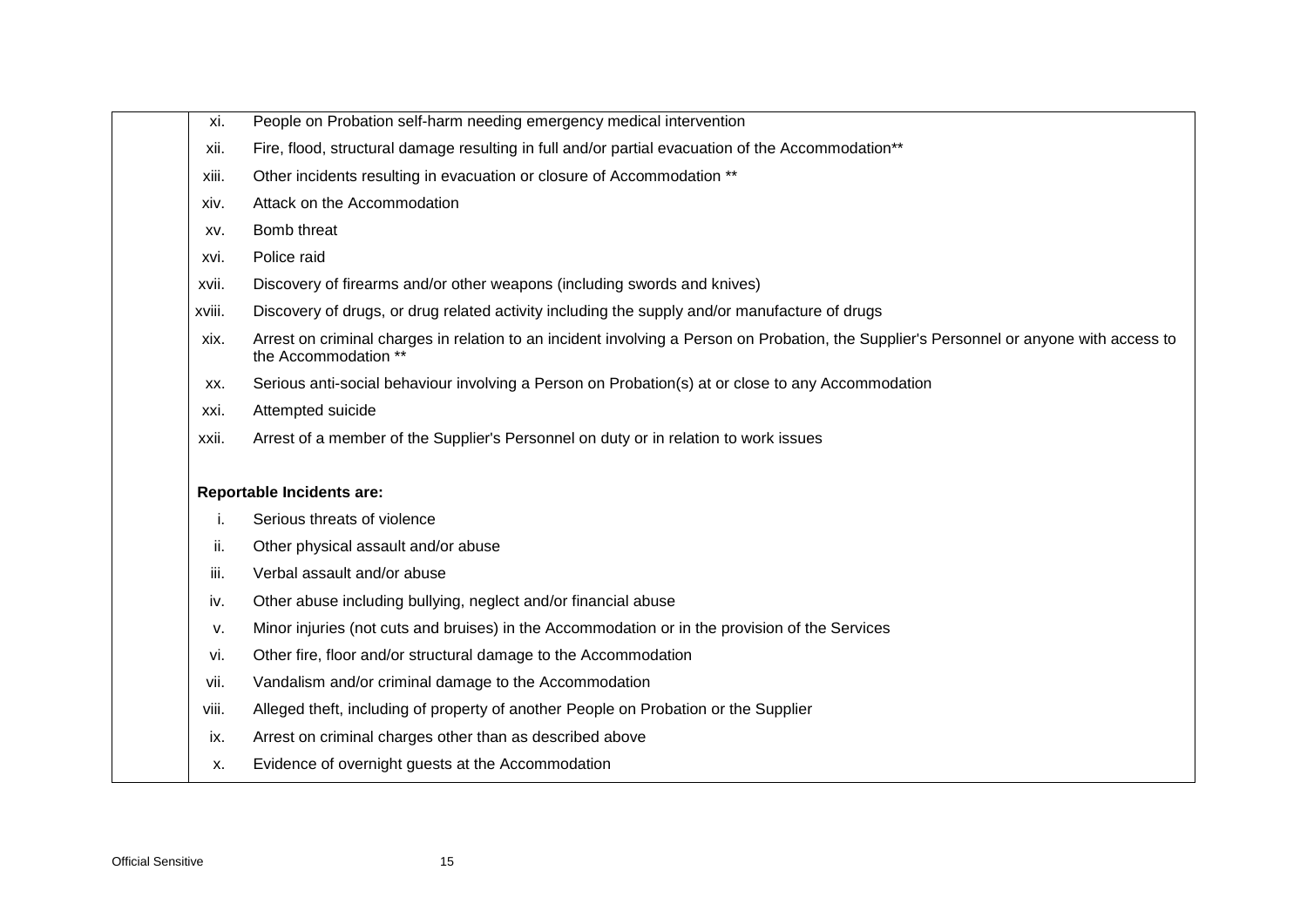- xi. People on Probation self-harm needing emergency medical intervention
- xii. Fire, flood, structural damage resulting in full and/or partial evacuation of the Accommodation\*\*
- xiii. Other incidents resulting in evacuation or closure of Accommodation \*\*
- xiv. Attack on the Accommodation
- xv. Bomb threat
- xvi. Police raid
- xvii. Discovery of firearms and/or other weapons (including swords and knives)
- xviii. Discovery of drugs, or drug related activity including the supply and/or manufacture of drugs
- xix. Arrest on criminal charges in relation to an incident involving a Person on Probation, the Supplier's Personnel or anyone with access to the Accommodation \*\*
- xx. Serious anti-social behaviour involving a Person on Probation(s) at or close to any Accommodation
- xxi. Attempted suicide
- xxii. Arrest of a member of the Supplier's Personnel on duty or in relation to work issues

#### **Reportable Incidents are:**

- i. Serious threats of violence
- ii. Other physical assault and/or abuse
- iii. Verbal assault and/or abuse
- iv. Other abuse including bullying, neglect and/or financial abuse
- v. Minor injuries (not cuts and bruises) in the Accommodation or in the provision of the Services
- vi. Other fire, floor and/or structural damage to the Accommodation
- vii. Vandalism and/or criminal damage to the Accommodation
- viii. Alleged theft, including of property of another People on Probation or the Supplier
- ix. Arrest on criminal charges other than as described above
- x. Evidence of overnight guests at the Accommodation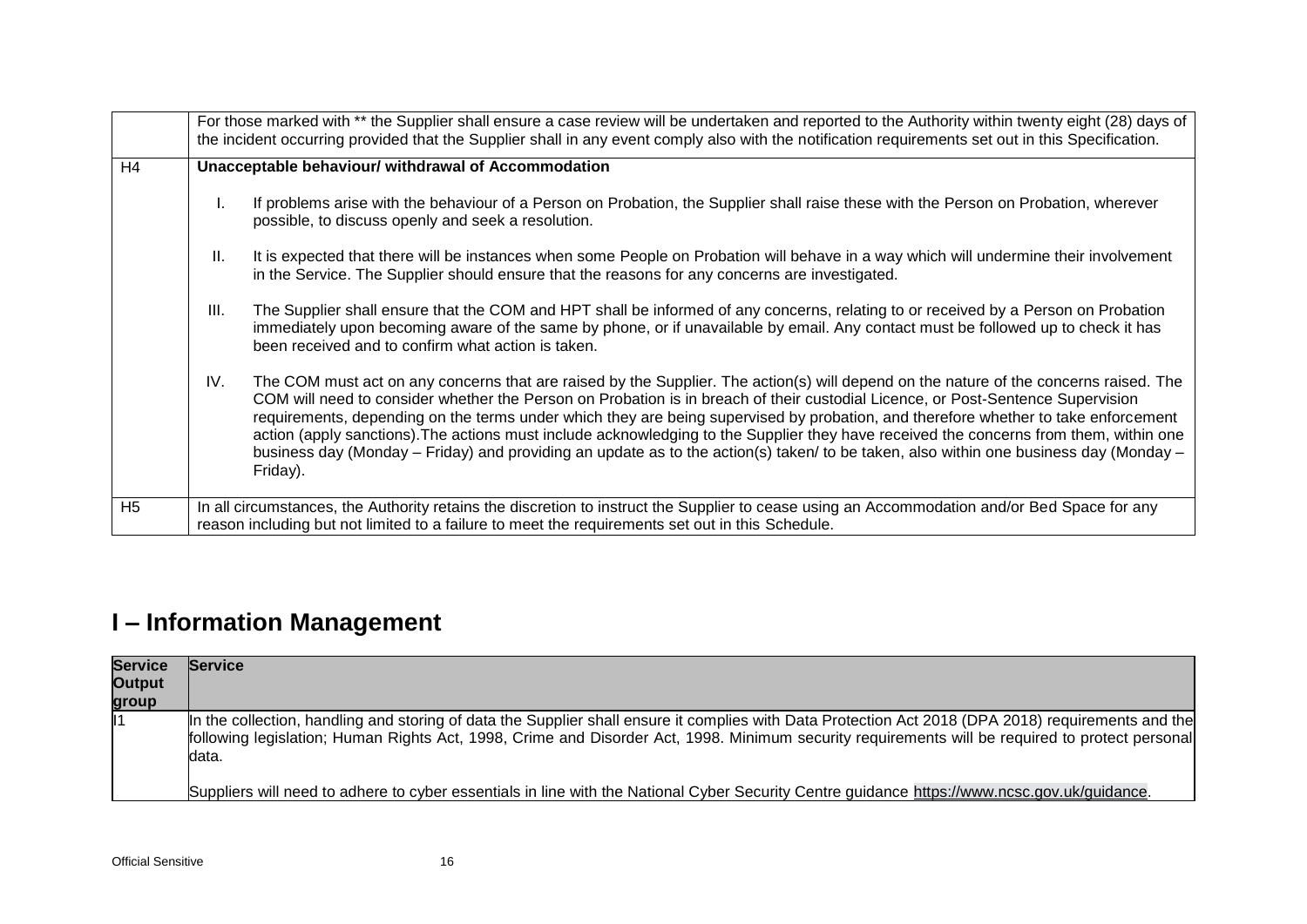|                | For those marked with ** the Supplier shall ensure a case review will be undertaken and reported to the Authority within twenty eight (28) days of<br>the incident occurring provided that the Supplier shall in any event comply also with the notification requirements set out in this Specification.                                                                                                                                                                                                                                                                                                                                                                                                             |  |  |  |  |  |  |  |  |  |  |
|----------------|----------------------------------------------------------------------------------------------------------------------------------------------------------------------------------------------------------------------------------------------------------------------------------------------------------------------------------------------------------------------------------------------------------------------------------------------------------------------------------------------------------------------------------------------------------------------------------------------------------------------------------------------------------------------------------------------------------------------|--|--|--|--|--|--|--|--|--|--|
| H4             | Unacceptable behaviour/ withdrawal of Accommodation                                                                                                                                                                                                                                                                                                                                                                                                                                                                                                                                                                                                                                                                  |  |  |  |  |  |  |  |  |  |  |
|                | If problems arise with the behaviour of a Person on Probation, the Supplier shall raise these with the Person on Probation, wherever<br>possible, to discuss openly and seek a resolution.                                                                                                                                                                                                                                                                                                                                                                                                                                                                                                                           |  |  |  |  |  |  |  |  |  |  |
|                | $\mathbf{II}$ .<br>It is expected that there will be instances when some People on Probation will behave in a way which will undermine their involvement<br>in the Service. The Supplier should ensure that the reasons for any concerns are investigated.                                                                                                                                                                                                                                                                                                                                                                                                                                                           |  |  |  |  |  |  |  |  |  |  |
|                | The Supplier shall ensure that the COM and HPT shall be informed of any concerns, relating to or received by a Person on Probation<br>III.<br>immediately upon becoming aware of the same by phone, or if unavailable by email. Any contact must be followed up to check it has<br>been received and to confirm what action is taken.                                                                                                                                                                                                                                                                                                                                                                                |  |  |  |  |  |  |  |  |  |  |
|                | The COM must act on any concerns that are raised by the Supplier. The action(s) will depend on the nature of the concerns raised. The<br>IV.<br>COM will need to consider whether the Person on Probation is in breach of their custodial Licence, or Post-Sentence Supervision<br>requirements, depending on the terms under which they are being supervised by probation, and therefore whether to take enforcement<br>action (apply sanctions). The actions must include acknowledging to the Supplier they have received the concerns from them, within one<br>business day (Monday – Friday) and providing an update as to the action(s) taken/ to be taken, also within one business day (Monday –<br>Friday). |  |  |  |  |  |  |  |  |  |  |
| H <sub>5</sub> | In all circumstances, the Authority retains the discretion to instruct the Supplier to cease using an Accommodation and/or Bed Space for any<br>reason including but not limited to a failure to meet the requirements set out in this Schedule.                                                                                                                                                                                                                                                                                                                                                                                                                                                                     |  |  |  |  |  |  |  |  |  |  |

# **I – Information Management**

| <b>Service</b> | <b>Service</b>                                                                                                                                                                                                                                                                                                  |
|----------------|-----------------------------------------------------------------------------------------------------------------------------------------------------------------------------------------------------------------------------------------------------------------------------------------------------------------|
| Output         |                                                                                                                                                                                                                                                                                                                 |
| group          |                                                                                                                                                                                                                                                                                                                 |
| 11             | In the collection, handling and storing of data the Supplier shall ensure it complies with Data Protection Act 2018 (DPA 2018) requirements and the<br>following legislation; Human Rights Act, 1998, Crime and Disorder Act, 1998. Minimum security requirements will be required to protect personal<br>data. |
|                | Suppliers will need to adhere to cyber essentials in line with the National Cyber Security Centre guidance https://www.ncsc.gov.uk/guidance.                                                                                                                                                                    |